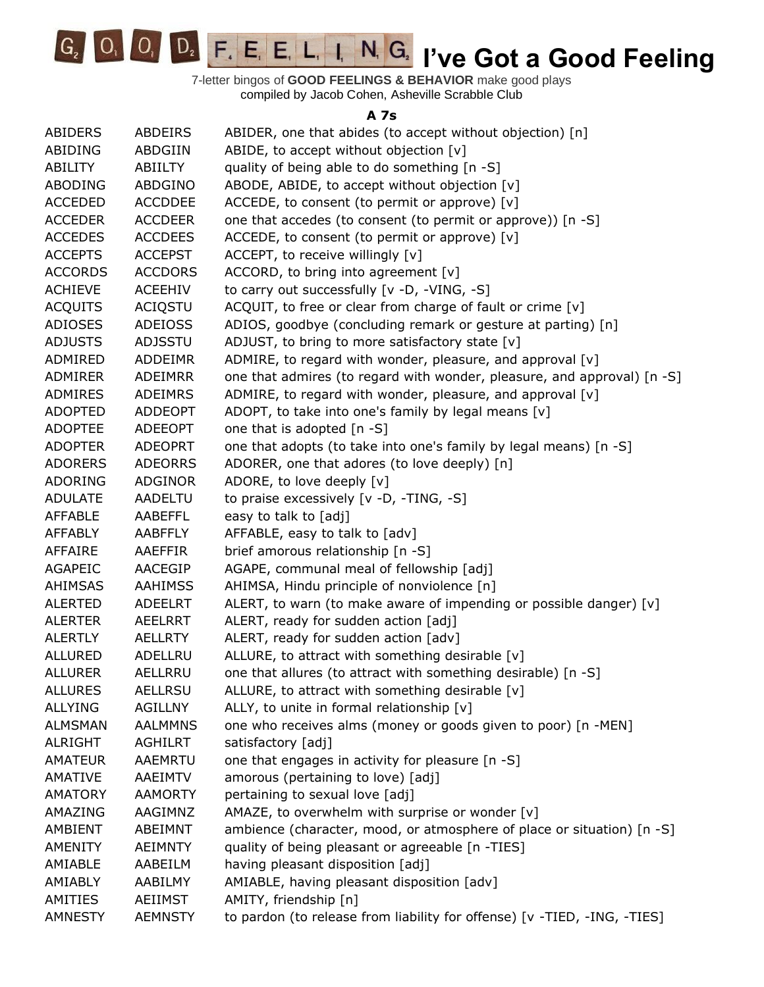**O**, **D**, **F**, **E**, **E**, **L**, **I**, **N**, **G**, **I**'ve Got a Good Feeling  $G_{2}$ 

7-letter bingos of **GOOD FEELINGS & BEHAVIOR** make good plays compiled by Jacob Cohen, Asheville Scrabble Club

## **A 7s**

| ABIDERS        | <b>ABDEIRS</b> | ABIDER, one that abides (to accept without objection) [n]                |
|----------------|----------------|--------------------------------------------------------------------------|
| ABIDING        | ABDGIIN        | ABIDE, to accept without objection [v]                                   |
| <b>ABILITY</b> | <b>ABIILTY</b> | quality of being able to do something [n -S]                             |
| <b>ABODING</b> | ABDGINO        | ABODE, ABIDE, to accept without objection [v]                            |
| <b>ACCEDED</b> | <b>ACCDDEE</b> | ACCEDE, to consent (to permit or approve) [v]                            |
| <b>ACCEDER</b> | <b>ACCDEER</b> | one that accedes (to consent (to permit or approve)) [n -S]              |
| <b>ACCEDES</b> | <b>ACCDEES</b> | ACCEDE, to consent (to permit or approve) [v]                            |
| <b>ACCEPTS</b> | <b>ACCEPST</b> | ACCEPT, to receive willingly [v]                                         |
| <b>ACCORDS</b> | <b>ACCDORS</b> | ACCORD, to bring into agreement $[v]$                                    |
| <b>ACHIEVE</b> | <b>ACEEHIV</b> | to carry out successfully [v -D, -VING, -S]                              |
| <b>ACQUITS</b> | <b>ACIQSTU</b> | ACQUIT, to free or clear from charge of fault or crime [v]               |
| <b>ADIOSES</b> | <b>ADEIOSS</b> | ADIOS, goodbye (concluding remark or gesture at parting) [n]             |
| <b>ADJUSTS</b> | <b>ADJSSTU</b> | ADJUST, to bring to more satisfactory state [v]                          |
| ADMIRED        | <b>ADDEIMR</b> | ADMIRE, to regard with wonder, pleasure, and approval [v]                |
| <b>ADMIRER</b> | <b>ADEIMRR</b> | one that admires (to regard with wonder, pleasure, and approval) [n -S]  |
| <b>ADMIRES</b> | <b>ADEIMRS</b> | ADMIRE, to regard with wonder, pleasure, and approval [v]                |
| <b>ADOPTED</b> | <b>ADDEOPT</b> | ADOPT, to take into one's family by legal means [v]                      |
| <b>ADOPTEE</b> | <b>ADEEOPT</b> | one that is adopted [n -S]                                               |
| <b>ADOPTER</b> | <b>ADEOPRT</b> | one that adopts (to take into one's family by legal means) [n -S]        |
| <b>ADORERS</b> | <b>ADEORRS</b> | ADORER, one that adores (to love deeply) [n]                             |
| <b>ADORING</b> | <b>ADGINOR</b> | ADORE, to love deeply [v]                                                |
| <b>ADULATE</b> | <b>AADELTU</b> | to praise excessively [v -D, -TING, -S]                                  |
| <b>AFFABLE</b> | <b>AABEFFL</b> | easy to talk to [adj]                                                    |
| <b>AFFABLY</b> | <b>AABFFLY</b> | AFFABLE, easy to talk to [adv]                                           |
| <b>AFFAIRE</b> | AAEFFIR        | brief amorous relationship [n -S]                                        |
| <b>AGAPEIC</b> | AACEGIP        | AGAPE, communal meal of fellowship [adj]                                 |
| <b>AHIMSAS</b> | <b>AAHIMSS</b> | AHIMSA, Hindu principle of nonviolence [n]                               |
| <b>ALERTED</b> | <b>ADEELRT</b> | ALERT, to warn (to make aware of impending or possible danger) [v]       |
| <b>ALERTER</b> | <b>AEELRRT</b> | ALERT, ready for sudden action [adj]                                     |
| <b>ALERTLY</b> | <b>AELLRTY</b> | ALERT, ready for sudden action [adv]                                     |
| <b>ALLURED</b> | ADELLRU        | ALLURE, to attract with something desirable [v]                          |
| <b>ALLURER</b> | AELLRRU        | one that allures (to attract with something desirable) [n -S]            |
| <b>ALLURES</b> | <b>AELLRSU</b> | ALLURE, to attract with something desirable [v]                          |
| <b>ALLYING</b> | <b>AGILLNY</b> | ALLY, to unite in formal relationship [v]                                |
| <b>ALMSMAN</b> | <b>AALMMNS</b> | one who receives alms (money or goods given to poor) [n -MEN]            |
| <b>ALRIGHT</b> | <b>AGHILRT</b> | satisfactory [adj]                                                       |
| <b>AMATEUR</b> | <b>AAEMRTU</b> | one that engages in activity for pleasure [n -S]                         |
| <b>AMATIVE</b> | <b>AAEIMTV</b> | amorous (pertaining to love) [adj]                                       |
| <b>AMATORY</b> | <b>AAMORTY</b> | pertaining to sexual love [adj]                                          |
|                |                |                                                                          |
| AMAZING        | AAGIMNZ        | AMAZE, to overwhelm with surprise or wonder [v]                          |
| AMBIENT        | ABEIMNT        | ambience (character, mood, or atmosphere of place or situation) [n -S]   |
| <b>AMENITY</b> | <b>AEIMNTY</b> | quality of being pleasant or agreeable [n -TIES]                         |
| AMIABLE        | AABEILM        | having pleasant disposition [adj]                                        |
| AMIABLY        | AABILMY        | AMIABLE, having pleasant disposition [adv]                               |
| AMITIES        | <b>AEIIMST</b> | AMITY, friendship [n]                                                    |
| <b>AMNESTY</b> | <b>AEMNSTY</b> | to pardon (to release from liability for offense) [v -TIED, -ING, -TIES] |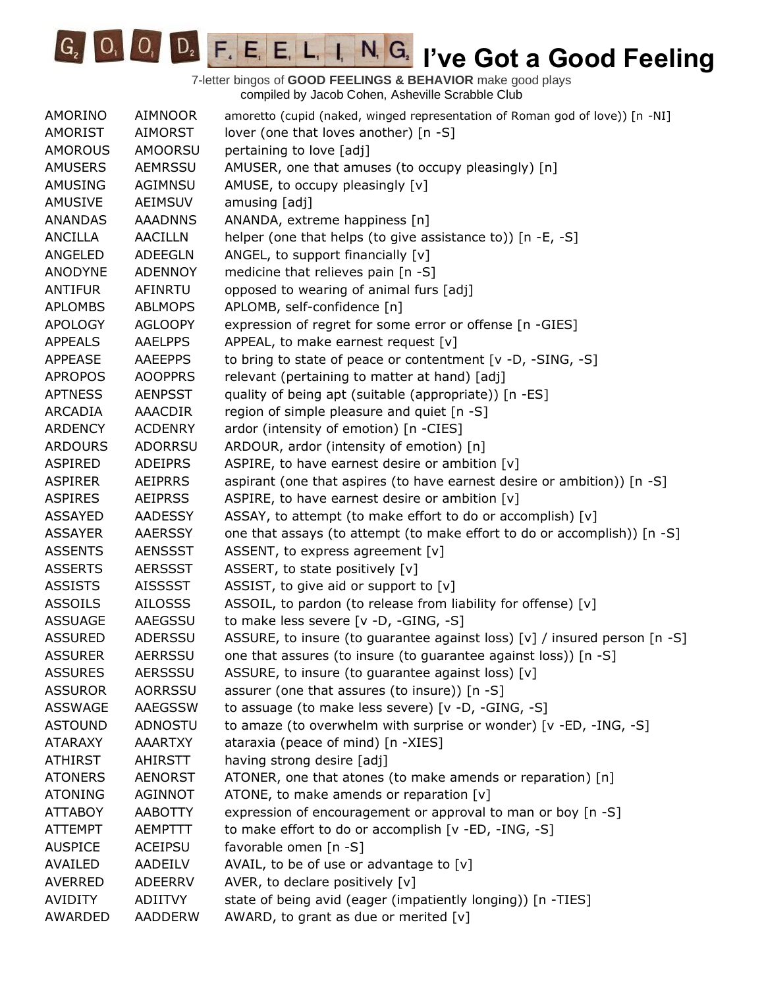**IC<sub>2</sub> IVE COODE F. E. E. L. I. N. G. I've Got a Good Feeling** 

| AMORINO        | <b>AIMNOOR</b> | amoretto (cupid (naked, winged representation of Roman god of love)) [n -NI] |
|----------------|----------------|------------------------------------------------------------------------------|
| <b>AMORIST</b> | <b>AIMORST</b> | lover (one that loves another) [n -S]                                        |
| <b>AMOROUS</b> | AMOORSU        | pertaining to love [adj]                                                     |
| <b>AMUSERS</b> | <b>AEMRSSU</b> | AMUSER, one that amuses (to occupy pleasingly) [n]                           |
| AMUSING        | AGIMNSU        | AMUSE, to occupy pleasingly [v]                                              |
| <b>AMUSIVE</b> | <b>AEIMSUV</b> | amusing [adj]                                                                |
| <b>ANANDAS</b> | <b>AAADNNS</b> | ANANDA, extreme happiness [n]                                                |
| ANCILLA        | <b>AACILLN</b> | helper (one that helps (to give assistance to)) [n -E, -S]                   |
| ANGELED        | <b>ADEEGLN</b> | ANGEL, to support financially [v]                                            |
| <b>ANODYNE</b> | <b>ADENNOY</b> | medicine that relieves pain [n -S]                                           |
| <b>ANTIFUR</b> | <b>AFINRTU</b> | opposed to wearing of animal furs [adj]                                      |
| <b>APLOMBS</b> | <b>ABLMOPS</b> | APLOMB, self-confidence [n]                                                  |
| <b>APOLOGY</b> | <b>AGLOOPY</b> | expression of regret for some error or offense [n -GIES]                     |
| <b>APPEALS</b> | <b>AAELPPS</b> | APPEAL, to make earnest request [v]                                          |
| <b>APPEASE</b> | <b>AAEEPPS</b> | to bring to state of peace or contentment [v -D, -SING, -S]                  |
| <b>APROPOS</b> | <b>AOOPPRS</b> | relevant (pertaining to matter at hand) [adj]                                |
| <b>APTNESS</b> | <b>AENPSST</b> | quality of being apt (suitable (appropriate)) [n -ES]                        |
| ARCADIA        | <b>AAACDIR</b> | region of simple pleasure and quiet [n -S]                                   |
| <b>ARDENCY</b> | <b>ACDENRY</b> | ardor (intensity of emotion) [n -CIES]                                       |
| <b>ARDOURS</b> | <b>ADORRSU</b> | ARDOUR, ardor (intensity of emotion) [n]                                     |
| <b>ASPIRED</b> | <b>ADEIPRS</b> | ASPIRE, to have earnest desire or ambition [v]                               |
| <b>ASPIRER</b> | <b>AEIPRRS</b> | aspirant (one that aspires (to have earnest desire or ambition)) [n -S]      |
| <b>ASPIRES</b> | <b>AEIPRSS</b> | ASPIRE, to have earnest desire or ambition [v]                               |
| <b>ASSAYED</b> | <b>AADESSY</b> | ASSAY, to attempt (to make effort to do or accomplish) [v]                   |
| <b>ASSAYER</b> | <b>AAERSSY</b> | one that assays (to attempt (to make effort to do or accomplish)) [n -S]     |
| <b>ASSENTS</b> | <b>AENSSST</b> | ASSENT, to express agreement [v]                                             |
| <b>ASSERTS</b> | <b>AERSSST</b> | ASSERT, to state positively [v]                                              |
| <b>ASSISTS</b> | <b>AISSSST</b> | ASSIST, to give aid or support to $[v]$                                      |
| <b>ASSOILS</b> | <b>AILOSSS</b> | ASSOIL, to pardon (to release from liability for offense) [v]                |
| <b>ASSUAGE</b> | AAEGSSU        | to make less severe [v -D, -GING, -S]                                        |
| <b>ASSURED</b> | ADERSSU        | ASSURE, to insure (to guarantee against loss) [v] / insured person [n -S]    |
| <b>ASSURER</b> | <b>AERRSSU</b> | one that assures (to insure (to guarantee against loss)) [n -S]              |
| <b>ASSURES</b> | <b>AERSSSU</b> | ASSURE, to insure (to guarantee against loss) [v]                            |
| <b>ASSUROR</b> | <b>AORRSSU</b> | assurer (one that assures (to insure)) [n -S]                                |
| <b>ASSWAGE</b> | <b>AAEGSSW</b> | to assuage (to make less severe) [v -D, -GING, -S]                           |
| <b>ASTOUND</b> | <b>ADNOSTU</b> | to amaze (to overwhelm with surprise or wonder) [v -ED, -ING, -S]            |
| <b>ATARAXY</b> | <b>AAARTXY</b> | ataraxia (peace of mind) [n -XIES]                                           |
| <b>ATHIRST</b> | <b>AHIRSTT</b> | having strong desire [adj]                                                   |
| <b>ATONERS</b> | <b>AENORST</b> | ATONER, one that atones (to make amends or reparation) [n]                   |
| <b>ATONING</b> | <b>AGINNOT</b> | ATONE, to make amends or reparation [v]                                      |
| <b>ATTABOY</b> | <b>AABOTTY</b> | expression of encouragement or approval to man or boy [n -S]                 |
| <b>ATTEMPT</b> | AEMPTTT        | to make effort to do or accomplish [v -ED, -ING, -S]                         |
| <b>AUSPICE</b> | <b>ACEIPSU</b> | favorable omen [n -S]                                                        |
| AVAILED        | AADEILV        | AVAIL, to be of use or advantage to $[v]$                                    |
| <b>AVERRED</b> | <b>ADEERRV</b> | AVER, to declare positively [v]                                              |
| <b>AVIDITY</b> | <b>ADIITVY</b> | state of being avid (eager (impatiently longing)) [n -TIES]                  |
| AWARDED        | AADDERW        | AWARD, to grant as due or merited [v]                                        |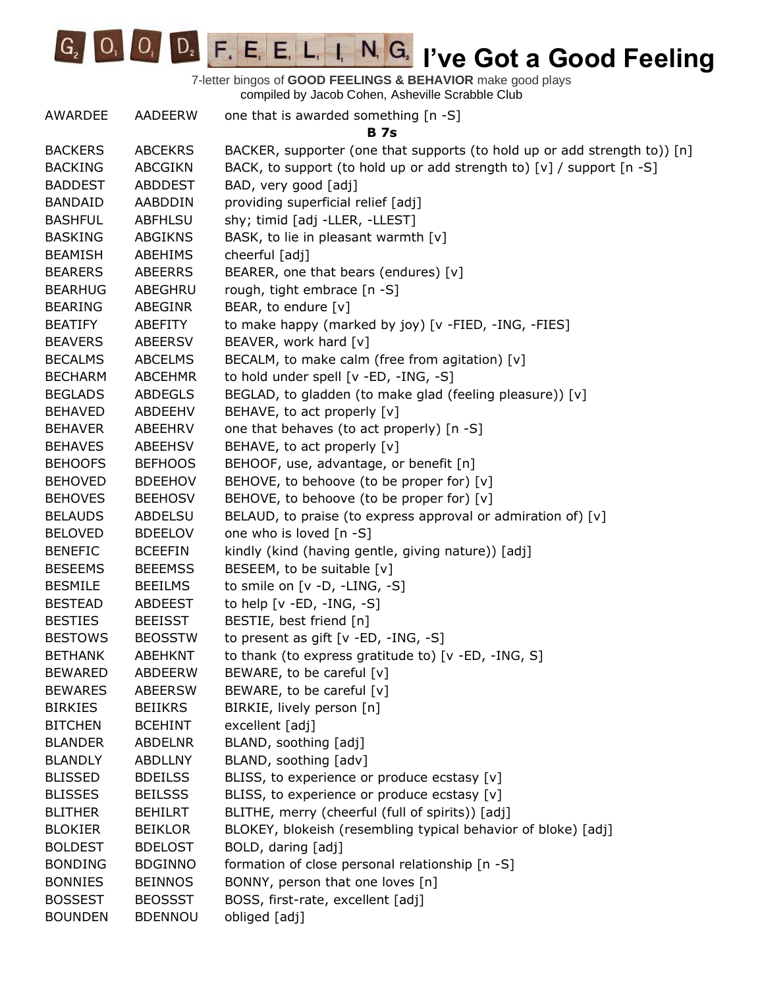

| AWARDEE        | AADEERW        | one that is awarded something [n -S]                                      |
|----------------|----------------|---------------------------------------------------------------------------|
|                |                | <b>B</b> 7s                                                               |
| <b>BACKERS</b> | <b>ABCEKRS</b> | BACKER, supporter (one that supports (to hold up or add strength to)) [n] |
| <b>BACKING</b> | <b>ABCGIKN</b> | BACK, to support (to hold up or add strength to) [v] / support [n -S]     |
| <b>BADDEST</b> | <b>ABDDEST</b> | BAD, very good [adj]                                                      |
| <b>BANDAID</b> | AABDDIN        | providing superficial relief [adj]                                        |
| <b>BASHFUL</b> | <b>ABFHLSU</b> | shy; timid [adj -LLER, -LLEST]                                            |
| <b>BASKING</b> | ABGIKNS        | BASK, to lie in pleasant warmth [v]                                       |
| <b>BEAMISH</b> | ABEHIMS        | cheerful [adj]                                                            |
| <b>BEARERS</b> | ABEERRS        | BEARER, one that bears (endures) [v]                                      |
| <b>BEARHUG</b> | ABEGHRU        | rough, tight embrace [n -S]                                               |
| <b>BEARING</b> | <b>ABEGINR</b> | BEAR, to endure [v]                                                       |
| <b>BEATIFY</b> | ABEFITY        | to make happy (marked by joy) [v -FIED, -ING, -FIES]                      |
| <b>BEAVERS</b> | <b>ABEERSV</b> | BEAVER, work hard [v]                                                     |
| <b>BECALMS</b> | <b>ABCELMS</b> | BECALM, to make calm (free from agitation) [v]                            |
| <b>BECHARM</b> | <b>ABCEHMR</b> | to hold under spell [v -ED, -ING, -S]                                     |
| <b>BEGLADS</b> | <b>ABDEGLS</b> | BEGLAD, to gladden (to make glad (feeling pleasure)) [v]                  |
| <b>BEHAVED</b> | ABDEEHV        | BEHAVE, to act properly [v]                                               |
| <b>BEHAVER</b> | ABEEHRV        | one that behaves (to act properly) [n -S]                                 |
| <b>BEHAVES</b> | ABEEHSV        | BEHAVE, to act properly [v]                                               |
| <b>BEHOOFS</b> | <b>BEFHOOS</b> | BEHOOF, use, advantage, or benefit [n]                                    |
| <b>BEHOVED</b> | <b>BDEEHOV</b> | BEHOVE, to behoove (to be proper for) [v]                                 |
| <b>BEHOVES</b> | <b>BEEHOSV</b> | BEHOVE, to behoove (to be proper for) [v]                                 |
| <b>BELAUDS</b> | ABDELSU        | BELAUD, to praise (to express approval or admiration of) [v]              |
| <b>BELOVED</b> | <b>BDEELOV</b> | one who is loved [n -S]                                                   |
| <b>BENEFIC</b> | <b>BCEEFIN</b> | kindly (kind (having gentle, giving nature)) [adj]                        |
| <b>BESEEMS</b> | <b>BEEEMSS</b> | BESEEM, to be suitable [v]                                                |
| <b>BESMILE</b> | <b>BEEILMS</b> | to smile on [v -D, -LING, -S]                                             |
| <b>BESTEAD</b> | ABDEEST        | to help $[v - ED, -ING, -S]$                                              |
| <b>BESTIES</b> | <b>BEEISST</b> | BESTIE, best friend [n]                                                   |
| <b>BESTOWS</b> | <b>BEOSSTW</b> | to present as gift [v -ED, -ING, -S]                                      |
| <b>BETHANK</b> | <b>ABEHKNT</b> | to thank (to express gratitude to) [v -ED, -ING, S]                       |
| <b>BEWARED</b> | <b>ABDEERW</b> | BEWARE, to be careful [v]                                                 |
| <b>BEWARES</b> | <b>ABEERSW</b> | BEWARE, to be careful [v]                                                 |
| <b>BIRKIES</b> | <b>BEIIKRS</b> | BIRKIE, lively person [n]                                                 |
| <b>BITCHEN</b> | <b>BCEHINT</b> | excellent [adj]                                                           |
| <b>BLANDER</b> | <b>ABDELNR</b> | BLAND, soothing [adj]                                                     |
| <b>BLANDLY</b> | <b>ABDLLNY</b> | BLAND, soothing [adv]                                                     |
| <b>BLISSED</b> | <b>BDEILSS</b> | BLISS, to experience or produce ecstasy [v]                               |
| <b>BLISSES</b> | <b>BEILSSS</b> | BLISS, to experience or produce ecstasy [v]                               |
| <b>BLITHER</b> | <b>BEHILRT</b> | BLITHE, merry (cheerful (full of spirits)) [adj]                          |
| <b>BLOKIER</b> | <b>BEIKLOR</b> | BLOKEY, blokeish (resembling typical behavior of bloke) [adj]             |
| <b>BOLDEST</b> | <b>BDELOST</b> | BOLD, daring [adj]                                                        |
| <b>BONDING</b> | <b>BDGINNO</b> | formation of close personal relationship [n -S]                           |
| <b>BONNIES</b> | <b>BEINNOS</b> | BONNY, person that one loves [n]                                          |
| <b>BOSSEST</b> | <b>BEOSSST</b> | BOSS, first-rate, excellent [adj]                                         |
| <b>BOUNDEN</b> | <b>BDENNOU</b> | obliged [adj]                                                             |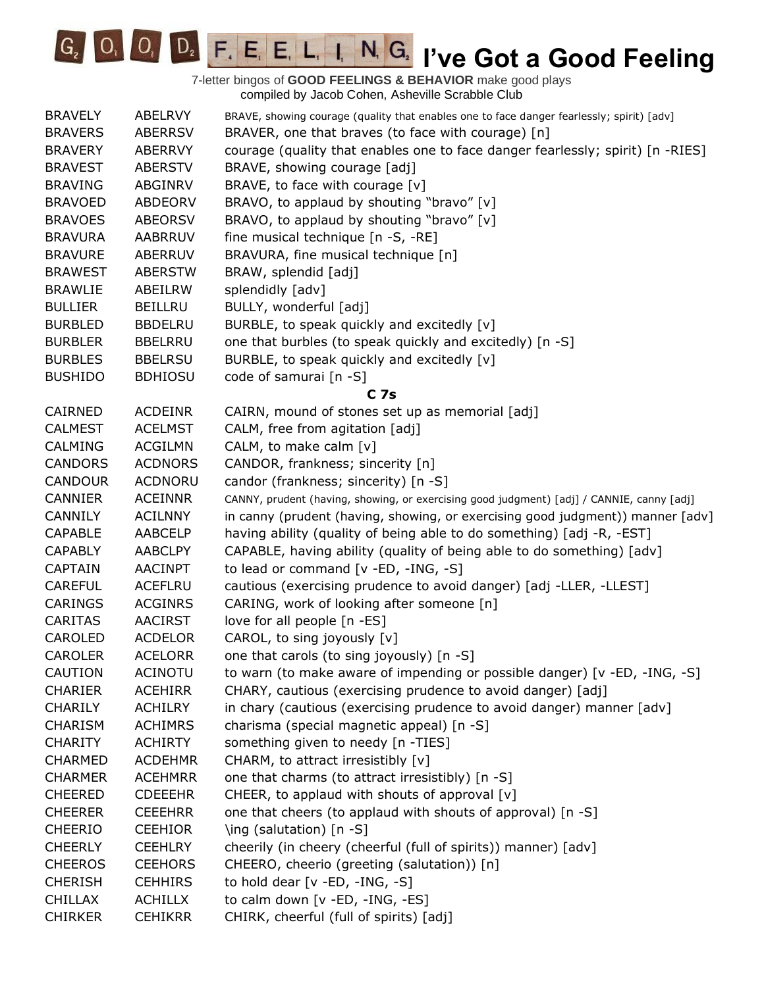

| <b>BRAVELY</b> | ABELRVY        | BRAVE, showing courage (quality that enables one to face danger fearlessly; spirit) [adv] |
|----------------|----------------|-------------------------------------------------------------------------------------------|
| <b>BRAVERS</b> | <b>ABERRSV</b> | BRAVER, one that braves (to face with courage) [n]                                        |
| <b>BRAVERY</b> | <b>ABERRVY</b> | courage (quality that enables one to face danger fearlessly; spirit) [n -RIES]            |
| <b>BRAVEST</b> | <b>ABERSTV</b> | BRAVE, showing courage [adj]                                                              |
| <b>BRAVING</b> | ABGINRV        | BRAVE, to face with courage [v]                                                           |
| <b>BRAVOED</b> | <b>ABDEORV</b> | BRAVO, to applaud by shouting "bravo" [v]                                                 |
| <b>BRAVOES</b> | <b>ABEORSV</b> | BRAVO, to applaud by shouting "bravo" [v]                                                 |
| <b>BRAVURA</b> | <b>AABRRUV</b> | fine musical technique [n -S, -RE]                                                        |
| <b>BRAVURE</b> | ABERRUV        | BRAVURA, fine musical technique [n]                                                       |
| <b>BRAWEST</b> | <b>ABERSTW</b> | BRAW, splendid [adj]                                                                      |
| <b>BRAWLIE</b> | ABEILRW        | splendidly [adv]                                                                          |
| <b>BULLIER</b> | <b>BEILLRU</b> | BULLY, wonderful [adj]                                                                    |
| <b>BURBLED</b> | <b>BBDELRU</b> | BURBLE, to speak quickly and excitedly [v]                                                |
| <b>BURBLER</b> | <b>BBELRRU</b> | one that burbles (to speak quickly and excitedly) [n -S]                                  |
| <b>BURBLES</b> | <b>BBELRSU</b> | BURBLE, to speak quickly and excitedly [v]                                                |
| <b>BUSHIDO</b> | <b>BDHIOSU</b> | code of samurai [n -S]                                                                    |
|                |                | <b>C</b> 7s                                                                               |
| CAIRNED        | <b>ACDEINR</b> | CAIRN, mound of stones set up as memorial [adj]                                           |
| <b>CALMEST</b> | <b>ACELMST</b> | CALM, free from agitation [adj]                                                           |
| <b>CALMING</b> | <b>ACGILMN</b> | CALM, to make calm [v]                                                                    |
| <b>CANDORS</b> | <b>ACDNORS</b> | CANDOR, frankness; sincerity [n]                                                          |
| <b>CANDOUR</b> | <b>ACDNORU</b> | candor (frankness; sincerity) [n -S]                                                      |
| <b>CANNIER</b> | <b>ACEINNR</b> | CANNY, prudent (having, showing, or exercising good judgment) [adj] / CANNIE, canny [adj] |
| <b>CANNILY</b> | <b>ACILNNY</b> | in canny (prudent (having, showing, or exercising good judgment)) manner [adv]            |
| <b>CAPABLE</b> | AABCELP        | having ability (quality of being able to do something) [adj -R, -EST]                     |
| <b>CAPABLY</b> | <b>AABCLPY</b> | CAPABLE, having ability (quality of being able to do something) [adv]                     |
| <b>CAPTAIN</b> | <b>AACINPT</b> | to lead or command [v -ED, -ING, -S]                                                      |
| <b>CAREFUL</b> | <b>ACEFLRU</b> | cautious (exercising prudence to avoid danger) [adj -LLER, -LLEST]                        |
| <b>CARINGS</b> | <b>ACGINRS</b> | CARING, work of looking after someone [n]                                                 |
| <b>CARITAS</b> | <b>AACIRST</b> | love for all people [n -ES]                                                               |
| CAROLED        | <b>ACDELOR</b> | CAROL, to sing joyously [v]                                                               |
| <b>CAROLER</b> | <b>ACELORR</b> | one that carols (to sing joyously) [n -S]                                                 |
| CAUTION        | <b>ACINOTU</b> | to warn (to make aware of impending or possible danger) [v -ED, -ING, -S]                 |
| <b>CHARIER</b> | <b>ACEHIRR</b> | CHARY, cautious (exercising prudence to avoid danger) [adj]                               |
| <b>CHARILY</b> | ACHILRY        | in chary (cautious (exercising prudence to avoid danger) manner [adv]                     |
| <b>CHARISM</b> | <b>ACHIMRS</b> | charisma (special magnetic appeal) [n -S]                                                 |
| <b>CHARITY</b> | <b>ACHIRTY</b> | something given to needy [n -TIES]                                                        |
| <b>CHARMED</b> | <b>ACDEHMR</b> | CHARM, to attract irresistibly [v]                                                        |
| <b>CHARMER</b> | <b>ACEHMRR</b> | one that charms (to attract irresistibly) [n -S]                                          |
| <b>CHEERED</b> | <b>CDEEEHR</b> | CHEER, to applaud with shouts of approval [v]                                             |
| <b>CHEERER</b> | <b>CEEEHRR</b> | one that cheers (to applaud with shouts of approval) [n -S]                               |
| <b>CHEERIO</b> | <b>CEEHIOR</b> | \ing (salutation) [n -S]                                                                  |
| <b>CHEERLY</b> | <b>CEEHLRY</b> | cheerily (in cheery (cheerful (full of spirits)) manner) [adv]                            |
| <b>CHEEROS</b> | <b>CEEHORS</b> | CHEERO, cheerio (greeting (salutation)) [n]                                               |
| <b>CHERISH</b> | <b>CEHHIRS</b> | to hold dear [v -ED, -ING, -S]                                                            |
| <b>CHILLAX</b> | <b>ACHILLX</b> | to calm down [v -ED, -ING, -ES]                                                           |
| <b>CHIRKER</b> | <b>CEHIKRR</b> | CHIRK, cheerful (full of spirits) [adj]                                                   |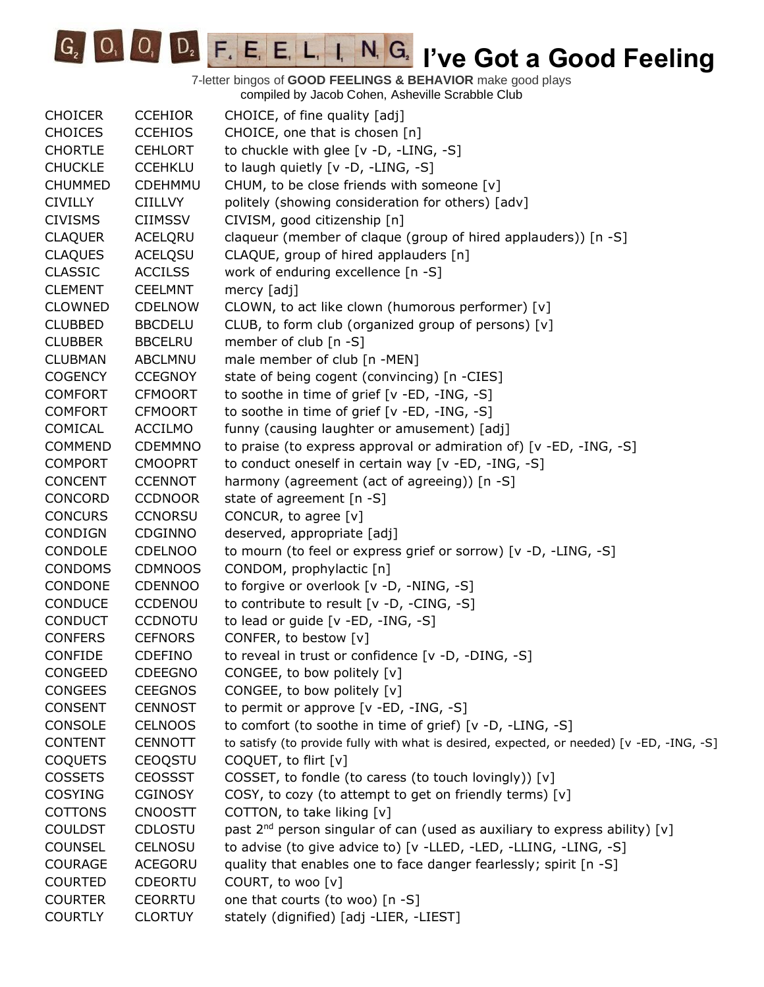G<sub>2</sub> O<sub>1</sub> O<sub>1</sub> D<sub>2</sub> F<sub>1</sub> E<sub>1</sub> E<sub>1</sub> L<sub>1</sub> I<sub>1</sub> N<sub>1</sub> G<sub>2</sub> I've Got a Good Feeling

| <b>CHOICER</b> | <b>CCEHIOR</b> | CHOICE, of fine quality [adj]                                                             |
|----------------|----------------|-------------------------------------------------------------------------------------------|
| <b>CHOICES</b> | <b>CCEHIOS</b> | CHOICE, one that is chosen [n]                                                            |
| <b>CHORTLE</b> | <b>CEHLORT</b> | to chuckle with glee [v -D, -LING, -S]                                                    |
| <b>CHUCKLE</b> | <b>CCEHKLU</b> | to laugh quietly [v -D, -LING, -S]                                                        |
| <b>CHUMMED</b> | CDEHMMU        | CHUM, to be close friends with someone [v]                                                |
| <b>CIVILLY</b> | <b>CIILLVY</b> | politely (showing consideration for others) [adv]                                         |
| <b>CIVISMS</b> | <b>CIIMSSV</b> | CIVISM, good citizenship [n]                                                              |
| <b>CLAQUER</b> | <b>ACELQRU</b> | claqueur (member of claque (group of hired applauders)) [n -S]                            |
| <b>CLAQUES</b> | <b>ACELQSU</b> | CLAQUE, group of hired applauders [n]                                                     |
| <b>CLASSIC</b> | <b>ACCILSS</b> | work of enduring excellence [n -S]                                                        |
| <b>CLEMENT</b> | <b>CEELMNT</b> | mercy [adj]                                                                               |
| <b>CLOWNED</b> | <b>CDELNOW</b> | CLOWN, to act like clown (humorous performer) [v]                                         |
| <b>CLUBBED</b> | <b>BBCDELU</b> | CLUB, to form club (organized group of persons) [v]                                       |
| <b>CLUBBER</b> | <b>BBCELRU</b> | member of club [n -S]                                                                     |
| <b>CLUBMAN</b> | ABCLMNU        | male member of club [n -MEN]                                                              |
| <b>COGENCY</b> | <b>CCEGNOY</b> | state of being cogent (convincing) [n -CIES]                                              |
| <b>COMFORT</b> | <b>CFMOORT</b> | to soothe in time of grief [v -ED, -ING, -S]                                              |
| <b>COMFORT</b> | <b>CFMOORT</b> | to soothe in time of grief [v -ED, -ING, -S]                                              |
| <b>COMICAL</b> | <b>ACCILMO</b> | funny (causing laughter or amusement) [adj]                                               |
| <b>COMMEND</b> | <b>CDEMMNO</b> | to praise (to express approval or admiration of) [v -ED, -ING, -S]                        |
| <b>COMPORT</b> | <b>CMOOPRT</b> | to conduct oneself in certain way [v -ED, -ING, -S]                                       |
| <b>CONCENT</b> | <b>CCENNOT</b> | harmony (agreement (act of agreeing)) [n -S]                                              |
| CONCORD        | <b>CCDNOOR</b> | state of agreement [n -S]                                                                 |
| <b>CONCURS</b> | <b>CCNORSU</b> | CONCUR, to agree [v]                                                                      |
| <b>CONDIGN</b> | CDGINNO        | deserved, appropriate [adj]                                                               |
| CONDOLE        | <b>CDELNOO</b> | to mourn (to feel or express grief or sorrow) [v -D, -LING, -S]                           |
| <b>CONDOMS</b> | <b>CDMNOOS</b> | CONDOM, prophylactic [n]                                                                  |
| CONDONE        | <b>CDENNOO</b> | to forgive or overlook [v -D, -NING, -S]                                                  |
| <b>CONDUCE</b> | CCDENOU        | to contribute to result [v -D, -CING, -S]                                                 |
| <b>CONDUCT</b> | <b>CCDNOTU</b> | to lead or guide [v -ED, -ING, -S]                                                        |
| <b>CONFERS</b> | <b>CEFNORS</b> | CONFER, to bestow [v]                                                                     |
| <b>CONFIDE</b> | <b>CDEFINO</b> | to reveal in trust or confidence [v -D, -DING, -S]                                        |
| <b>CONGEED</b> | <b>CDEEGNO</b> | CONGEE, to bow politely [v]                                                               |
| <b>CONGEES</b> | <b>CEEGNOS</b> | CONGEE, to bow politely [v]                                                               |
| <b>CONSENT</b> | <b>CENNOST</b> | to permit or approve [v -ED, -ING, -S]                                                    |
| <b>CONSOLE</b> | <b>CELNOOS</b> | to comfort (to soothe in time of grief) [v -D, -LING, -S]                                 |
| <b>CONTENT</b> | <b>CENNOTT</b> | to satisfy (to provide fully with what is desired, expected, or needed) [v -ED, -ING, -S] |
| <b>COQUETS</b> | <b>CEOQSTU</b> | COQUET, to flirt [v]                                                                      |
| <b>COSSETS</b> | <b>CEOSSST</b> | COSSET, to fondle (to caress (to touch lovingly)) [v]                                     |
| <b>COSYING</b> | <b>CGINOSY</b> | COSY, to cozy (to attempt to get on friendly terms) [v]                                   |
| <b>COTTONS</b> | <b>CNOOSTT</b> | COTTON, to take liking [v]                                                                |
| <b>COULDST</b> | CDLOSTU        | past 2 <sup>nd</sup> person singular of can (used as auxiliary to express ability) [v]    |
| <b>COUNSEL</b> | CELNOSU        | to advise (to give advice to) [v -LLED, -LED, -LLING, -LING, -S]                          |
| <b>COURAGE</b> | <b>ACEGORU</b> | quality that enables one to face danger fearlessly; spirit [n -S]                         |
| <b>COURTED</b> | CDEORTU        | COURT, to woo [v]                                                                         |
| <b>COURTER</b> | <b>CEORRTU</b> | one that courts (to woo) [n -S]                                                           |
| <b>COURTLY</b> | <b>CLORTUY</b> | stately (dignified) [adj -LIER, -LIEST]                                                   |
|                |                |                                                                                           |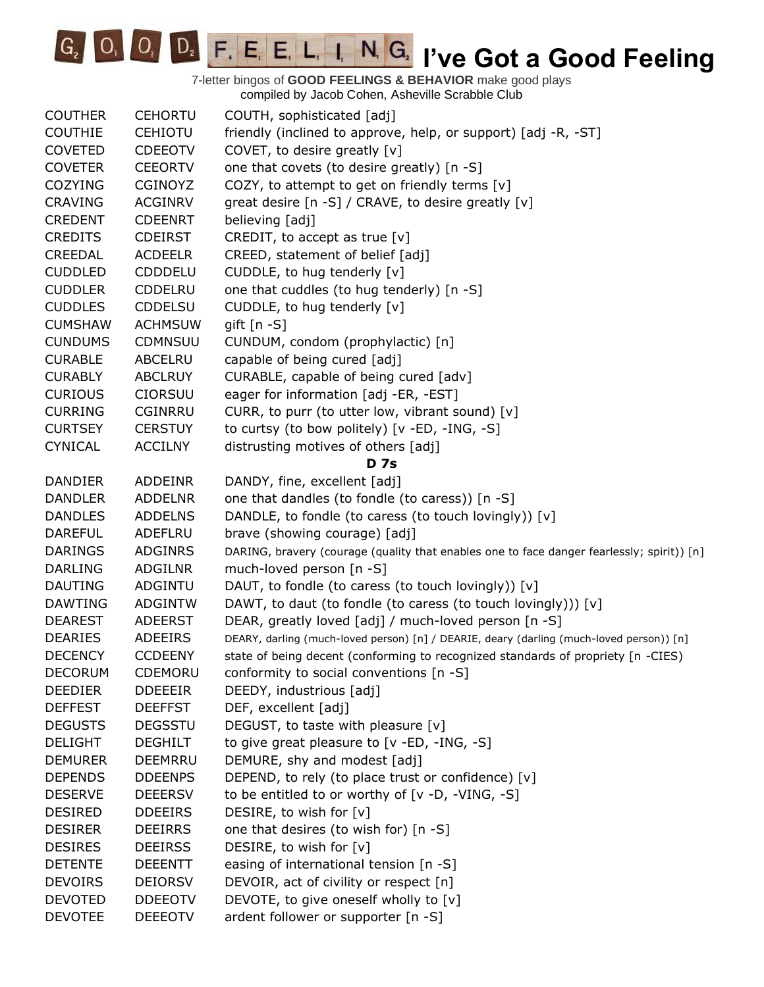**IC<sub>2</sub> IVE COODE FIGURE IN GRAVIT PLANCE COOPER GOOD Feeling** 

| <b>COUTHER</b> | <b>CEHORTU</b> | COUTH, sophisticated [adj]                                                                 |
|----------------|----------------|--------------------------------------------------------------------------------------------|
| <b>COUTHIE</b> | <b>CEHIOTU</b> | friendly (inclined to approve, help, or support) [adj -R, -ST]                             |
| <b>COVETED</b> | <b>CDEEOTV</b> | COVET, to desire greatly [v]                                                               |
| <b>COVETER</b> | <b>CEEORTV</b> | one that covets (to desire greatly) [n -S]                                                 |
| <b>COZYING</b> | CGINOYZ        | COZY, to attempt to get on friendly terms [v]                                              |
| <b>CRAVING</b> | <b>ACGINRV</b> | great desire [n -S] / CRAVE, to desire greatly [v]                                         |
| <b>CREDENT</b> | <b>CDEENRT</b> | believing [adj]                                                                            |
| <b>CREDITS</b> | <b>CDEIRST</b> | CREDIT, to accept as true $[v]$                                                            |
| <b>CREEDAL</b> | <b>ACDEELR</b> | CREED, statement of belief [adj]                                                           |
| <b>CUDDLED</b> | <b>CDDDELU</b> | CUDDLE, to hug tenderly [v]                                                                |
| <b>CUDDLER</b> | <b>CDDELRU</b> | one that cuddles (to hug tenderly) [n -S]                                                  |
| <b>CUDDLES</b> | CDDELSU        | CUDDLE, to hug tenderly [v]                                                                |
| <b>CUMSHAW</b> | <b>ACHMSUW</b> | gift [n -S]                                                                                |
| <b>CUNDUMS</b> | <b>CDMNSUU</b> | CUNDUM, condom (prophylactic) [n]                                                          |
| <b>CURABLE</b> | <b>ABCELRU</b> | capable of being cured [adj]                                                               |
| <b>CURABLY</b> | <b>ABCLRUY</b> | CURABLE, capable of being cured [adv]                                                      |
| <b>CURIOUS</b> | <b>CIORSUU</b> | eager for information [adj -ER, -EST]                                                      |
| <b>CURRING</b> | <b>CGINRRU</b> | CURR, to purr (to utter low, vibrant sound) [v]                                            |
| <b>CURTSEY</b> | <b>CERSTUY</b> | to curtsy (to bow politely) [v -ED, -ING, -S]                                              |
| <b>CYNICAL</b> | <b>ACCILNY</b> | distrusting motives of others [adj]                                                        |
|                |                | <b>D</b> 7s                                                                                |
| <b>DANDIER</b> | <b>ADDEINR</b> | DANDY, fine, excellent [adj]                                                               |
| <b>DANDLER</b> | <b>ADDELNR</b> | one that dandles (to fondle (to caress)) [n -S]                                            |
| <b>DANDLES</b> | <b>ADDELNS</b> | DANDLE, to fondle (to caress (to touch lovingly)) [v]                                      |
| <b>DAREFUL</b> | ADEFLRU        | brave (showing courage) [adj]                                                              |
| <b>DARINGS</b> | <b>ADGINRS</b> | DARING, bravery (courage (quality that enables one to face danger fearlessly; spirit)) [n] |
| <b>DARLING</b> | <b>ADGILNR</b> | much-loved person [n -S]                                                                   |
| <b>DAUTING</b> | ADGINTU        | DAUT, to fondle (to caress (to touch lovingly)) [v]                                        |
| <b>DAWTING</b> | <b>ADGINTW</b> | DAWT, to daut (to fondle (to caress (to touch lovingly))) [v]                              |
| <b>DEAREST</b> | <b>ADEERST</b> | DEAR, greatly loved [adj] / much-loved person [n -S]                                       |
| <b>DEARIES</b> | <b>ADEEIRS</b> | DEARY, darling (much-loved person) [n] / DEARIE, deary (darling (much-loved person)) [n]   |
| <b>DECENCY</b> | <b>CCDEENY</b> | state of being decent (conforming to recognized standards of propriety [n -CIES)           |
| <b>DECORUM</b> | CDEMORU        | conformity to social conventions [n -S]                                                    |
| <b>DEEDIER</b> | <b>DDEEEIR</b> | DEEDY, industrious [adj]                                                                   |
| <b>DEFFEST</b> | <b>DEEFFST</b> | DEF, excellent [adj]                                                                       |
| <b>DEGUSTS</b> | <b>DEGSSTU</b> | DEGUST, to taste with pleasure [v]                                                         |
| <b>DELIGHT</b> | <b>DEGHILT</b> | to give great pleasure to [v -ED, -ING, -S]                                                |
| <b>DEMURER</b> | <b>DEEMRRU</b> | DEMURE, shy and modest [adj]                                                               |
| <b>DEPENDS</b> | <b>DDEENPS</b> | DEPEND, to rely (to place trust or confidence) [v]                                         |
| <b>DESERVE</b> | <b>DEEERSV</b> | to be entitled to or worthy of $[v -D, -VING, -S]$                                         |
| <b>DESIRED</b> | <b>DDEEIRS</b> | DESIRE, to wish for [v]                                                                    |
| <b>DESIRER</b> | <b>DEEIRRS</b> | one that desires (to wish for) [n -S]                                                      |
| <b>DESIRES</b> | <b>DEEIRSS</b> | DESIRE, to wish for [v]                                                                    |
| <b>DETENTE</b> | <b>DEEENTT</b> | easing of international tension [n -S]                                                     |
| <b>DEVOIRS</b> | <b>DEIORSV</b> | DEVOIR, act of civility or respect [n]                                                     |
| <b>DEVOTED</b> | <b>DDEEOTV</b> | DEVOTE, to give oneself wholly to [v]                                                      |
| <b>DEVOTEE</b> | <b>DEEEOTV</b> | ardent follower or supporter [n -S]                                                        |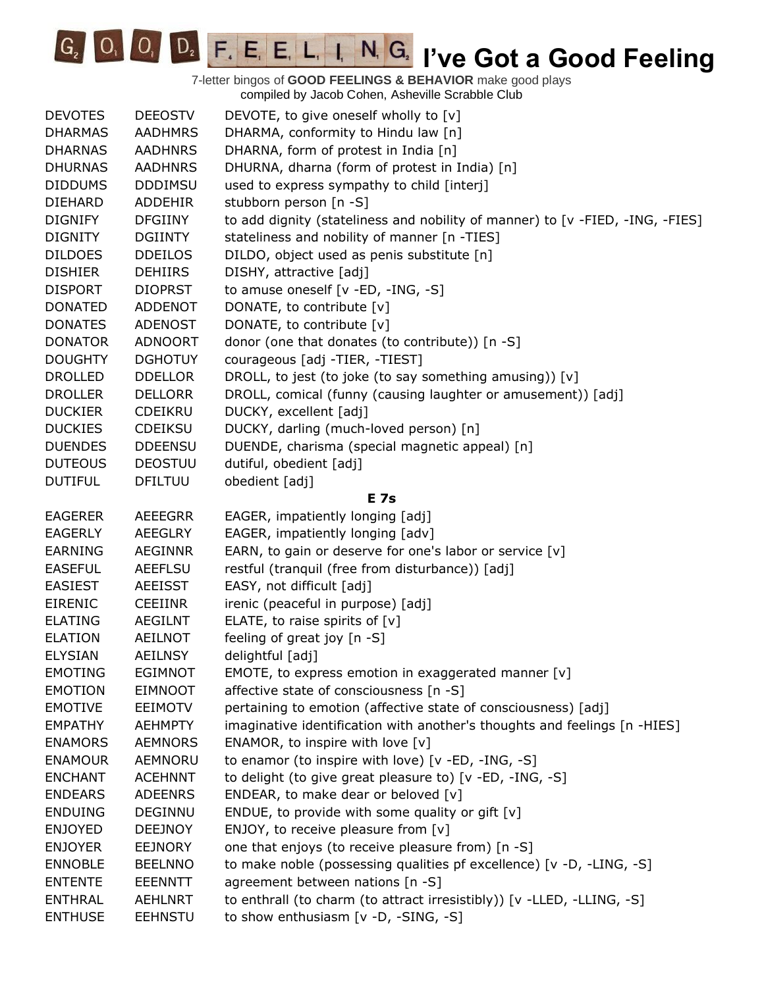**IC<sub>2</sub> IVE COODE F. E. E. L. I. N. G. I've Got a Good Feeling** 

| <b>DEVOTES</b> | <b>DEEOSTV</b> | DEVOTE, to give oneself wholly to [v]                                         |
|----------------|----------------|-------------------------------------------------------------------------------|
| <b>DHARMAS</b> | <b>AADHMRS</b> | DHARMA, conformity to Hindu law [n]                                           |
| <b>DHARNAS</b> | <b>AADHNRS</b> | DHARNA, form of protest in India [n]                                          |
| <b>DHURNAS</b> | <b>AADHNRS</b> | DHURNA, dharna (form of protest in India) [n]                                 |
| <b>DIDDUMS</b> | <b>DDDIMSU</b> | used to express sympathy to child [interj]                                    |
| <b>DIEHARD</b> | ADDEHIR        | stubborn person [n -S]                                                        |
| <b>DIGNIFY</b> | <b>DFGIINY</b> | to add dignity (stateliness and nobility of manner) to [v -FIED, -ING, -FIES] |
| <b>DIGNITY</b> | <b>DGIINTY</b> | stateliness and nobility of manner [n -TIES]                                  |
| <b>DILDOES</b> | <b>DDEILOS</b> | DILDO, object used as penis substitute [n]                                    |
| <b>DISHIER</b> | <b>DEHIIRS</b> | DISHY, attractive [adj]                                                       |
| <b>DISPORT</b> | <b>DIOPRST</b> | to amuse oneself [v -ED, -ING, -S]                                            |
| <b>DONATED</b> | ADDENOT        | DONATE, to contribute [v]                                                     |
| <b>DONATES</b> | <b>ADENOST</b> | DONATE, to contribute [v]                                                     |
| <b>DONATOR</b> | <b>ADNOORT</b> | donor (one that donates (to contribute)) [n -S]                               |
| <b>DOUGHTY</b> | <b>DGHOTUY</b> | courageous [adj -TIER, -TIEST]                                                |
| <b>DROLLED</b> | <b>DDELLOR</b> | DROLL, to jest (to joke (to say something amusing)) [v]                       |
| <b>DROLLER</b> | <b>DELLORR</b> | DROLL, comical (funny (causing laughter or amusement)) [adj]                  |
| <b>DUCKIER</b> | <b>CDEIKRU</b> | DUCKY, excellent [adj]                                                        |
| <b>DUCKIES</b> | <b>CDEIKSU</b> | DUCKY, darling (much-loved person) [n]                                        |
| <b>DUENDES</b> | <b>DDEENSU</b> | DUENDE, charisma (special magnetic appeal) [n]                                |
| <b>DUTEOUS</b> | <b>DEOSTUU</b> | dutiful, obedient [adj]                                                       |
| <b>DUTIFUL</b> | <b>DFILTUU</b> | obedient [adj]                                                                |
|                |                | <b>E</b> 7s                                                                   |
| <b>EAGERER</b> | <b>AEEEGRR</b> | EAGER, impatiently longing [adj]                                              |
| <b>EAGERLY</b> | <b>AEEGLRY</b> | EAGER, impatiently longing [adv]                                              |
| <b>EARNING</b> | AEGINNR        | EARN, to gain or deserve for one's labor or service [v]                       |
| <b>EASEFUL</b> | <b>AEEFLSU</b> | restful (tranquil (free from disturbance)) [adj]                              |
| <b>EASIEST</b> | <b>AEEISST</b> | EASY, not difficult [adj]                                                     |
| <b>EIRENIC</b> | <b>CEEIINR</b> | irenic (peaceful in purpose) [adj]                                            |
| <b>ELATING</b> | <b>AEGILNT</b> | ELATE, to raise spirits of [v]                                                |
| <b>ELATION</b> | <b>AEILNOT</b> | feeling of great joy [n -S]                                                   |
| <b>ELYSIAN</b> | <b>AEILNSY</b> | delightful [adj]                                                              |
| <b>EMOTING</b> | <b>EGIMNOT</b> | EMOTE, to express emotion in exaggerated manner $[v]$                         |
| <b>EMOTION</b> | <b>EIMNOOT</b> | affective state of consciousness [n -S]                                       |
| <b>EMOTIVE</b> | <b>EEIMOTV</b> | pertaining to emotion (affective state of consciousness) [adj]                |
| <b>EMPATHY</b> | <b>AEHMPTY</b> | imaginative identification with another's thoughts and feelings [n -HIES]     |
| <b>ENAMORS</b> | <b>AEMNORS</b> | ENAMOR, to inspire with love [v]                                              |
| <b>ENAMOUR</b> | AEMNORU        | to enamor (to inspire with love) [v -ED, -ING, -S]                            |
| <b>ENCHANT</b> | <b>ACEHNNT</b> | to delight (to give great pleasure to) [v -ED, -ING, -S]                      |
| <b>ENDEARS</b> | <b>ADEENRS</b> | ENDEAR, to make dear or beloved $[v]$                                         |
| <b>ENDUING</b> | DEGINNU        | ENDUE, to provide with some quality or gift $[v]$                             |
| <b>ENJOYED</b> | <b>DEEJNOY</b> | ENJOY, to receive pleasure from [v]                                           |
| <b>ENJOYER</b> | <b>EEJNORY</b> | one that enjoys (to receive pleasure from) [n -S]                             |
| <b>ENNOBLE</b> | <b>BEELNNO</b> | to make noble (possessing qualities pf excellence) [v -D, -LING, -S]          |
| <b>ENTENTE</b> | EEENNTT        | agreement between nations [n -S]                                              |
| <b>ENTHRAL</b> |                |                                                                               |
|                | <b>AEHLNRT</b> | to enthrall (to charm (to attract irresistibly)) [v -LLED, -LLING, -S]        |
| <b>ENTHUSE</b> | <b>EEHNSTU</b> | to show enthusiasm [v -D, -SING, -S]                                          |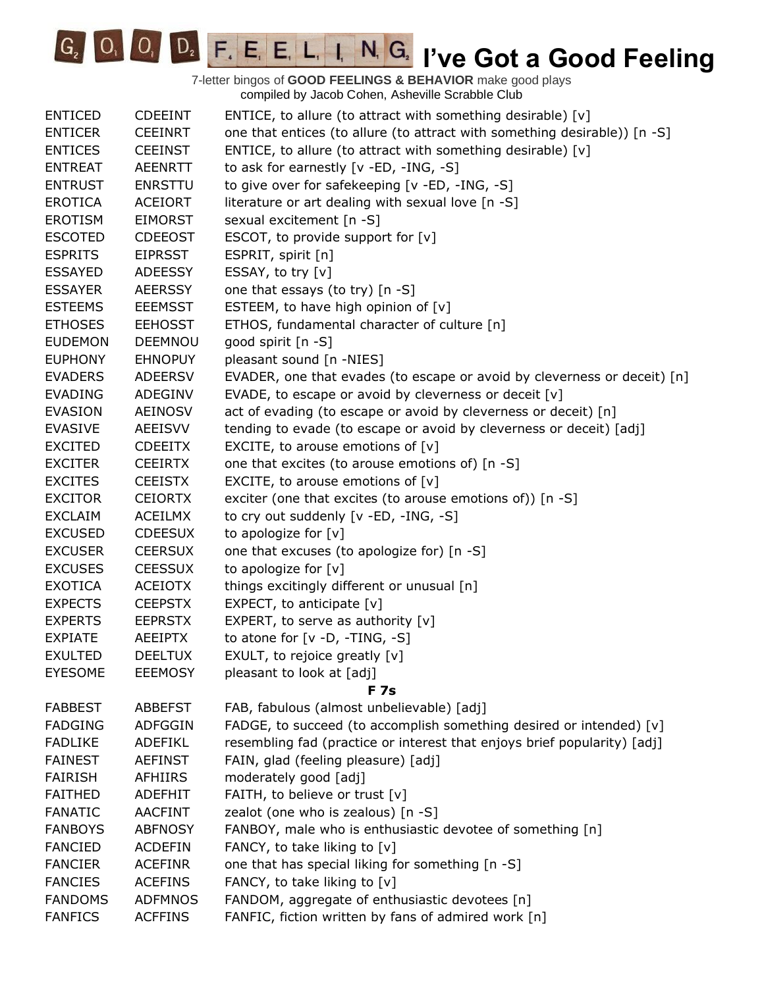G<sub>2</sub> O<sub>1</sub> O<sub>1</sub> D<sub>2</sub> F<sub>1</sub> E<sub>1</sub> E<sub>1</sub> L<sub>1</sub> I<sub>1</sub> N<sub>1</sub> G<sub>2</sub> I've Got a Good Feeling

| <b>ENTICED</b> | <b>CDEEINT</b> | ENTICE, to allure (to attract with something desirable) [v]               |
|----------------|----------------|---------------------------------------------------------------------------|
| <b>ENTICER</b> | <b>CEEINRT</b> | one that entices (to allure (to attract with something desirable)) [n -S] |
| <b>ENTICES</b> | <b>CEEINST</b> | ENTICE, to allure (to attract with something desirable) [v]               |
| <b>ENTREAT</b> | <b>AEENRTT</b> | to ask for earnestly [v -ED, -ING, -S]                                    |
| <b>ENTRUST</b> | <b>ENRSTTU</b> | to give over for safekeeping [v -ED, -ING, -S]                            |
| <b>EROTICA</b> | <b>ACEIORT</b> | literature or art dealing with sexual love [n -S]                         |
| <b>EROTISM</b> | <b>EIMORST</b> | sexual excitement [n -S]                                                  |
| <b>ESCOTED</b> | <b>CDEEOST</b> | ESCOT, to provide support for [v]                                         |
| <b>ESPRITS</b> | <b>EIPRSST</b> | ESPRIT, spirit [n]                                                        |
| <b>ESSAYED</b> | <b>ADEESSY</b> | ESSAY, to try [v]                                                         |
| <b>ESSAYER</b> | <b>AEERSSY</b> | one that essays (to try) [n -S]                                           |
| <b>ESTEEMS</b> | <b>EEEMSST</b> | ESTEEM, to have high opinion of [v]                                       |
| <b>ETHOSES</b> | <b>EEHOSST</b> | ETHOS, fundamental character of culture [n]                               |
| <b>EUDEMON</b> | <b>DEEMNOU</b> | good spirit [n -S]                                                        |
| <b>EUPHONY</b> | <b>EHNOPUY</b> | pleasant sound [n -NIES]                                                  |
| <b>EVADERS</b> | <b>ADEERSV</b> | EVADER, one that evades (to escape or avoid by cleverness or deceit) [n]  |
| <b>EVADING</b> | ADEGINV        | EVADE, to escape or avoid by cleverness or deceit [v]                     |
| <b>EVASION</b> | AEINOSV        | act of evading (to escape or avoid by cleverness or deceit) [n]           |
| <b>EVASIVE</b> | <b>AEEISVV</b> | tending to evade (to escape or avoid by cleverness or deceit) [adj]       |
| <b>EXCITED</b> | <b>CDEEITX</b> | EXCITE, to arouse emotions of $[v]$                                       |
| <b>EXCITER</b> | <b>CEEIRTX</b> | one that excites (to arouse emotions of) [n -S]                           |
| <b>EXCITES</b> | <b>CEEISTX</b> | EXCITE, to arouse emotions of $[v]$                                       |
| <b>EXCITOR</b> | <b>CEIORTX</b> | exciter (one that excites (to arouse emotions of)) [n -S]                 |
| <b>EXCLAIM</b> | <b>ACEILMX</b> | to cry out suddenly [v -ED, -ING, -S]                                     |
| <b>EXCUSED</b> | <b>CDEESUX</b> | to apologize for [v]                                                      |
| <b>EXCUSER</b> | <b>CEERSUX</b> | one that excuses (to apologize for) [n -S]                                |
| <b>EXCUSES</b> | <b>CEESSUX</b> | to apologize for [v]                                                      |
| <b>EXOTICA</b> | <b>ACEIOTX</b> | things excitingly different or unusual [n]                                |
| <b>EXPECTS</b> | <b>CEEPSTX</b> | EXPECT, to anticipate [v]                                                 |
| <b>EXPERTS</b> | <b>EEPRSTX</b> | EXPERT, to serve as authority $[v]$                                       |
| <b>EXPIATE</b> | <b>AEEIPTX</b> | to atone for [v -D, -TING, -S]                                            |
| <b>EXULTED</b> | <b>DEELTUX</b> | EXULT, to rejoice greatly [v]                                             |
| <b>EYESOME</b> | <b>EEEMOSY</b> | pleasant to look at [adj]                                                 |
|                |                | F 7s                                                                      |
| <b>FABBEST</b> | <b>ABBEFST</b> | FAB, fabulous (almost unbelievable) [adj]                                 |
| <b>FADGING</b> | <b>ADFGGIN</b> | FADGE, to succeed (to accomplish something desired or intended) [v]       |
| <b>FADLIKE</b> | <b>ADEFIKL</b> | resembling fad (practice or interest that enjoys brief popularity) [adj]  |
| <b>FAINEST</b> | <b>AEFINST</b> | FAIN, glad (feeling pleasure) [adj]                                       |
| <b>FAIRISH</b> | <b>AFHIIRS</b> | moderately good [adj]                                                     |
| <b>FAITHED</b> | <b>ADEFHIT</b> | FAITH, to believe or trust [v]                                            |
| <b>FANATIC</b> | <b>AACFINT</b> | zealot (one who is zealous) [n -S]                                        |
| <b>FANBOYS</b> | <b>ABFNOSY</b> | FANBOY, male who is enthusiastic devotee of something [n]                 |
| <b>FANCIED</b> | <b>ACDEFIN</b> | FANCY, to take liking to [v]                                              |
| <b>FANCIER</b> | <b>ACEFINR</b> | one that has special liking for something [n -S]                          |
| <b>FANCIES</b> | <b>ACEFINS</b> | FANCY, to take liking to $[v]$                                            |
| <b>FANDOMS</b> | <b>ADFMNOS</b> | FANDOM, aggregate of enthusiastic devotees [n]                            |
| <b>FANFICS</b> | <b>ACFFINS</b> | FANFIC, fiction written by fans of admired work [n]                       |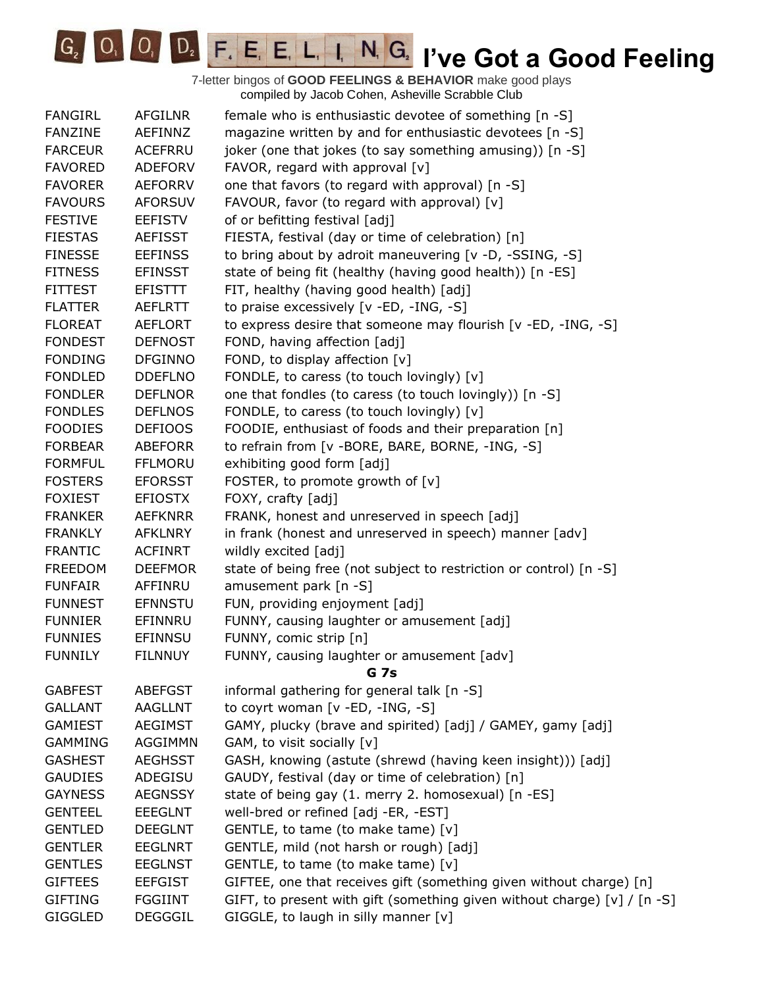

| <b>FANGIRL</b> | <b>AFGILNR</b> | female who is enthusiastic devotee of something [n -S]                   |
|----------------|----------------|--------------------------------------------------------------------------|
| <b>FANZINE</b> | AEFINNZ        | magazine written by and for enthusiastic devotees [n -S]                 |
| <b>FARCEUR</b> | ACEFRRU        | joker (one that jokes (to say something amusing)) [n -S]                 |
| <b>FAVORED</b> | <b>ADEFORV</b> | FAVOR, regard with approval [v]                                          |
| <b>FAVORER</b> | <b>AEFORRV</b> | one that favors (to regard with approval) [n -S]                         |
| <b>FAVOURS</b> | <b>AFORSUV</b> | FAVOUR, favor (to regard with approval) [v]                              |
| <b>FESTIVE</b> | <b>EEFISTV</b> | of or befitting festival [adj]                                           |
| <b>FIESTAS</b> | <b>AEFISST</b> | FIESTA, festival (day or time of celebration) [n]                        |
| <b>FINESSE</b> | <b>EEFINSS</b> | to bring about by adroit maneuvering [v -D, -SSING, -S]                  |
| <b>FITNESS</b> | <b>EFINSST</b> | state of being fit (healthy (having good health)) [n -ES]                |
| <b>FITTEST</b> | <b>EFISTTT</b> | FIT, healthy (having good health) [adj]                                  |
| <b>FLATTER</b> | <b>AEFLRTT</b> | to praise excessively [v -ED, -ING, -S]                                  |
| <b>FLOREAT</b> | <b>AEFLORT</b> | to express desire that someone may flourish [v -ED, -ING, -S]            |
| <b>FONDEST</b> | <b>DEFNOST</b> | FOND, having affection [adj]                                             |
| <b>FONDING</b> | <b>DFGINNO</b> | FOND, to display affection [v]                                           |
| <b>FONDLED</b> | <b>DDEFLNO</b> | FONDLE, to caress (to touch lovingly) [v]                                |
| <b>FONDLER</b> | <b>DEFLNOR</b> | one that fondles (to caress (to touch lovingly)) [n -S]                  |
| <b>FONDLES</b> | <b>DEFLNOS</b> | FONDLE, to caress (to touch lovingly) [v]                                |
| <b>FOODIES</b> | <b>DEFIOOS</b> | FOODIE, enthusiast of foods and their preparation [n]                    |
| <b>FORBEAR</b> | <b>ABEFORR</b> | to refrain from [v -BORE, BARE, BORNE, -ING, -S]                         |
| <b>FORMFUL</b> | <b>FFLMORU</b> | exhibiting good form [adj]                                               |
| <b>FOSTERS</b> | <b>EFORSST</b> | FOSTER, to promote growth of [v]                                         |
| <b>FOXIEST</b> | <b>EFIOSTX</b> | FOXY, crafty [adj]                                                       |
| <b>FRANKER</b> | <b>AEFKNRR</b> | FRANK, honest and unreserved in speech [adj]                             |
| <b>FRANKLY</b> | <b>AFKLNRY</b> | in frank (honest and unreserved in speech) manner [adv]                  |
| <b>FRANTIC</b> | <b>ACFINRT</b> | wildly excited [adj]                                                     |
| <b>FREEDOM</b> | <b>DEEFMOR</b> | state of being free (not subject to restriction or control) [n -S]       |
| <b>FUNFAIR</b> | AFFINRU        | amusement park [n -S]                                                    |
| <b>FUNNEST</b> | <b>EFNNSTU</b> | FUN, providing enjoyment [adj]                                           |
| <b>FUNNIER</b> | EFINNRU        | FUNNY, causing laughter or amusement [adj]                               |
| <b>FUNNIES</b> | <b>EFINNSU</b> | FUNNY, comic strip [n]                                                   |
| <b>FUNNILY</b> | <b>FILNNUY</b> | FUNNY, causing laughter or amusement [adv]                               |
|                |                | G 7s                                                                     |
| <b>GABFEST</b> | <b>ABEFGST</b> | informal gathering for general talk [n -S]                               |
| <b>GALLANT</b> | AAGLLNT        | to coyrt woman [v -ED, -ING, -S]                                         |
| <b>GAMIEST</b> | <b>AEGIMST</b> | GAMY, plucky (brave and spirited) [adj] / GAMEY, gamy [adj]              |
| <b>GAMMING</b> | AGGIMMN        | GAM, to visit socially [v]                                               |
| <b>GASHEST</b> | <b>AEGHSST</b> | GASH, knowing (astute (shrewd (having keen insight))) [adj]              |
| <b>GAUDIES</b> | ADEGISU        | GAUDY, festival (day or time of celebration) [n]                         |
| <b>GAYNESS</b> | <b>AEGNSSY</b> | state of being gay (1. merry 2. homosexual) [n -ES]                      |
| <b>GENTEEL</b> | <b>EEEGLNT</b> | well-bred or refined [adj -ER, -EST]                                     |
| <b>GENTLED</b> | <b>DEEGLNT</b> | GENTLE, to tame (to make tame) [v]                                       |
| <b>GENTLER</b> | <b>EEGLNRT</b> | GENTLE, mild (not harsh or rough) [adj]                                  |
| <b>GENTLES</b> | <b>EEGLNST</b> | GENTLE, to tame (to make tame) [v]                                       |
| <b>GIFTEES</b> | <b>EEFGIST</b> | GIFTEE, one that receives gift (something given without charge) [n]      |
| <b>GIFTING</b> | <b>FGGIINT</b> | GIFT, to present with gift (something given without charge) [v] / [n -S] |
| <b>GIGGLED</b> | <b>DEGGGIL</b> | GIGGLE, to laugh in silly manner [v]                                     |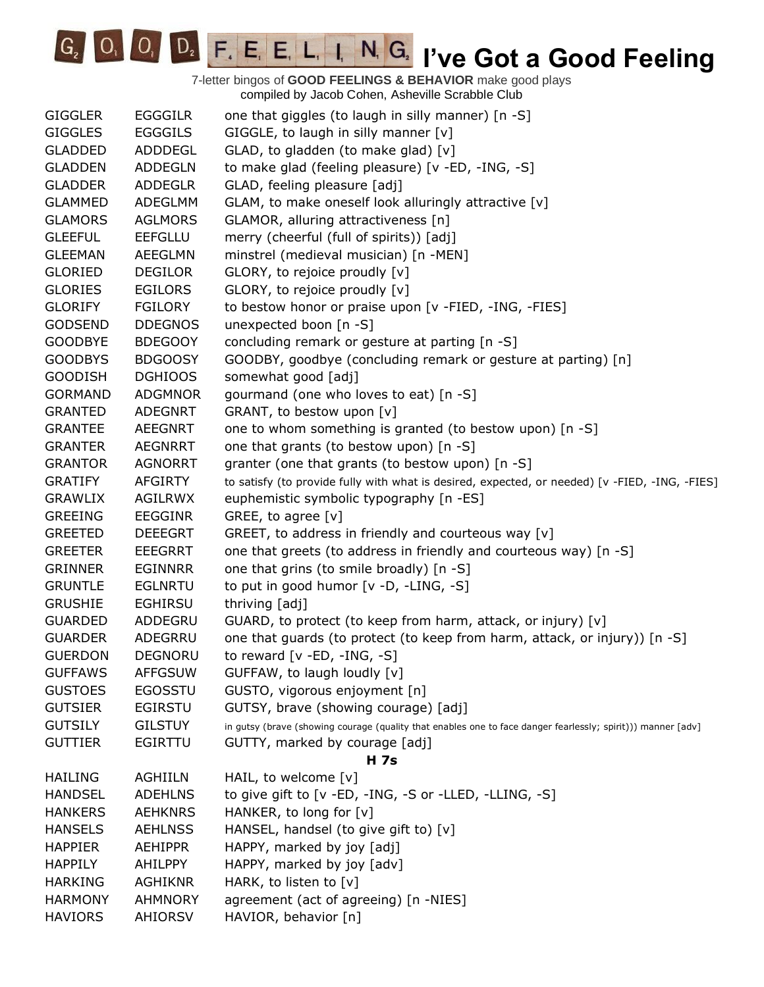**IC<sub>2</sub> IVE COODE F. E. E. L. I. N. G. I've Got a Good Feeling** 

| <b>GIGGLER</b> | <b>EGGGILR</b> | one that giggles (to laugh in silly manner) [n -S]                                                           |
|----------------|----------------|--------------------------------------------------------------------------------------------------------------|
| <b>GIGGLES</b> | <b>EGGGILS</b> | GIGGLE, to laugh in silly manner $[v]$                                                                       |
| <b>GLADDED</b> | ADDDEGL        | GLAD, to gladden (to make glad) [v]                                                                          |
| <b>GLADDEN</b> | <b>ADDEGLN</b> | to make glad (feeling pleasure) [v -ED, -ING, -S]                                                            |
| <b>GLADDER</b> | <b>ADDEGLR</b> | GLAD, feeling pleasure [adj]                                                                                 |
| <b>GLAMMED</b> | ADEGLMM        | GLAM, to make oneself look alluringly attractive [v]                                                         |
| <b>GLAMORS</b> | <b>AGLMORS</b> | GLAMOR, alluring attractiveness [n]                                                                          |
| <b>GLEEFUL</b> | <b>EEFGLLU</b> | merry (cheerful (full of spirits)) [adj]                                                                     |
| <b>GLEEMAN</b> | <b>AEEGLMN</b> | minstrel (medieval musician) [n -MEN]                                                                        |
| <b>GLORIED</b> | <b>DEGILOR</b> | GLORY, to rejoice proudly [v]                                                                                |
| <b>GLORIES</b> | <b>EGILORS</b> | GLORY, to rejoice proudly [v]                                                                                |
| <b>GLORIFY</b> | FGILORY        | to bestow honor or praise upon [v -FIED, -ING, -FIES]                                                        |
| <b>GODSEND</b> | <b>DDEGNOS</b> | unexpected boon [n -S]                                                                                       |
| <b>GOODBYE</b> | <b>BDEGOOY</b> | concluding remark or gesture at parting [n -S]                                                               |
| <b>GOODBYS</b> | <b>BDGOOSY</b> | GOODBY, goodbye (concluding remark or gesture at parting) [n]                                                |
| <b>GOODISH</b> | <b>DGHIOOS</b> | somewhat good [adj]                                                                                          |
| <b>GORMAND</b> | <b>ADGMNOR</b> | gourmand (one who loves to eat) [n -S]                                                                       |
| <b>GRANTED</b> | <b>ADEGNRT</b> | GRANT, to bestow upon [v]                                                                                    |
| <b>GRANTEE</b> | AEEGNRT        | one to whom something is granted (to bestow upon) [n -S]                                                     |
| <b>GRANTER</b> | AEGNRRT        | one that grants (to bestow upon) [n -S]                                                                      |
| <b>GRANTOR</b> | <b>AGNORRT</b> | granter (one that grants (to bestow upon) [n -S]                                                             |
| <b>GRATIFY</b> | AFGIRTY        | to satisfy (to provide fully with what is desired, expected, or needed) [v -FIED, -ING, -FIES]               |
| <b>GRAWLIX</b> | AGILRWX        | euphemistic symbolic typography [n -ES]                                                                      |
| <b>GREEING</b> | <b>EEGGINR</b> | GREE, to agree [v]                                                                                           |
| <b>GREETED</b> | <b>DEEEGRT</b> | GREET, to address in friendly and courteous way [v]                                                          |
| <b>GREETER</b> | <b>EEEGRRT</b> | one that greets (to address in friendly and courteous way) [n -S]                                            |
| <b>GRINNER</b> | <b>EGINNRR</b> | one that grins (to smile broadly) [n -S]                                                                     |
| <b>GRUNTLE</b> | <b>EGLNRTU</b> | to put in good humor [v -D, -LING, -S]                                                                       |
| <b>GRUSHIE</b> | <b>EGHIRSU</b> | thriving [adj]                                                                                               |
| <b>GUARDED</b> | ADDEGRU        | GUARD, to protect (to keep from harm, attack, or injury) [v]                                                 |
| <b>GUARDER</b> | ADEGRRU        | one that guards (to protect (to keep from harm, attack, or injury)) [n -S]                                   |
| <b>GUERDON</b> | <b>DEGNORU</b> | to reward $[v - ED, -ING, -S]$                                                                               |
| <b>GUFFAWS</b> | <b>AFFGSUW</b> | GUFFAW, to laugh loudly [v]                                                                                  |
| <b>GUSTOES</b> | <b>EGOSSTU</b> | GUSTO, vigorous enjoyment [n]                                                                                |
| <b>GUTSIER</b> | <b>EGIRSTU</b> | GUTSY, brave (showing courage) [adj]                                                                         |
| <b>GUTSILY</b> | <b>GILSTUY</b> | in gutsy (brave (showing courage (quality that enables one to face danger fearlessly; spirit))) manner [adv] |
| <b>GUTTIER</b> | EGIRTTU        | GUTTY, marked by courage [adj]                                                                               |
|                |                | H 7s                                                                                                         |
| <b>HAILING</b> | <b>AGHIILN</b> | HAIL, to welcome [v]                                                                                         |
| <b>HANDSEL</b> | <b>ADEHLNS</b> | to give gift to [v -ED, -ING, -S or -LLED, -LLING, -S]                                                       |
| <b>HANKERS</b> | <b>AEHKNRS</b> | HANKER, to long for [v]                                                                                      |
| <b>HANSELS</b> | <b>AEHLNSS</b> | HANSEL, handsel (to give gift to) [v]                                                                        |
| <b>HAPPIER</b> | <b>AEHIPPR</b> | HAPPY, marked by joy [adj]                                                                                   |
| <b>HAPPILY</b> | AHILPPY        | HAPPY, marked by joy [adv]                                                                                   |
| <b>HARKING</b> | <b>AGHIKNR</b> | HARK, to listen to [v]                                                                                       |
| <b>HARMONY</b> | <b>AHMNORY</b> | agreement (act of agreeing) [n -NIES]                                                                        |
| <b>HAVIORS</b> | AHIORSV        | HAVIOR, behavior [n]                                                                                         |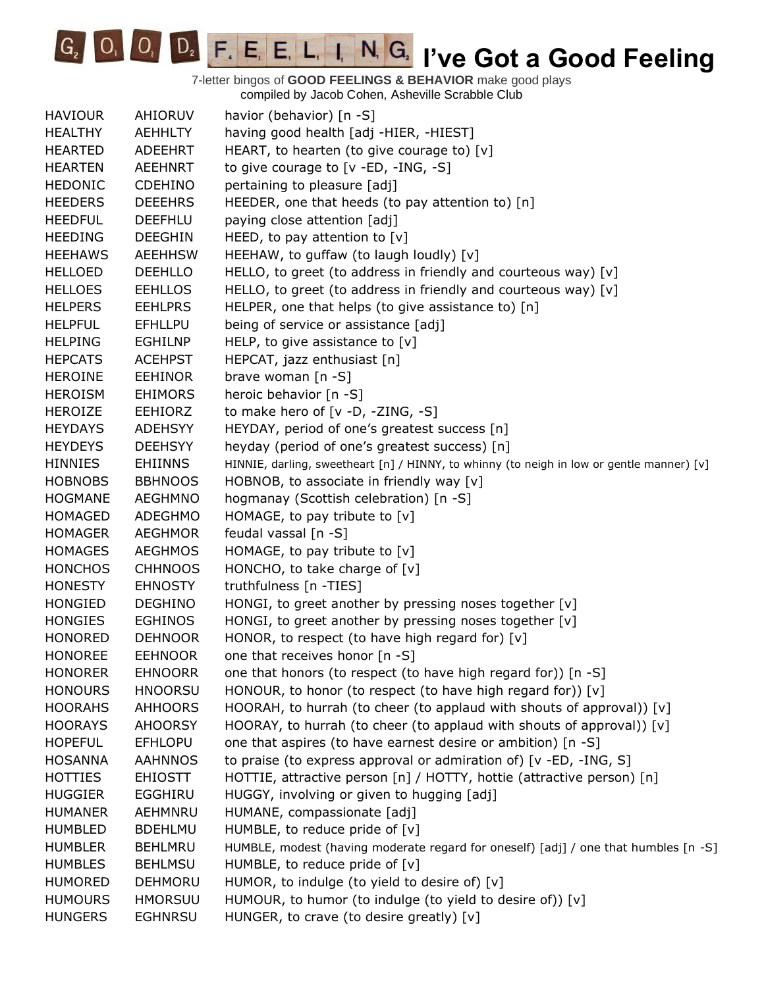**IC<sub>2</sub> IVE COODE F. E. E. L. I. N. G. I've Got a Good Feeling** 

| <b>HAVIOUR</b> | AHIORUV        | havior (behavior) [n -S]                                                                  |
|----------------|----------------|-------------------------------------------------------------------------------------------|
| <b>HEALTHY</b> | <b>AEHHLTY</b> | having good health [adj -HIER, -HIEST]                                                    |
| <b>HEARTED</b> | ADEEHRT        | HEART, to hearten (to give courage to) [v]                                                |
| <b>HEARTEN</b> | <b>AEEHNRT</b> | to give courage to $[v - ED, -ING, -S]$                                                   |
| <b>HEDONIC</b> | <b>CDEHINO</b> | pertaining to pleasure [adj]                                                              |
| <b>HEEDERS</b> | <b>DEEEHRS</b> | HEEDER, one that heeds (to pay attention to) [n]                                          |
| <b>HEEDFUL</b> | <b>DEEFHLU</b> | paying close attention [adj]                                                              |
| <b>HEEDING</b> | <b>DEEGHIN</b> | HEED, to pay attention to $[v]$                                                           |
| <b>HEEHAWS</b> | <b>AEEHHSW</b> | HEEHAW, to guffaw (to laugh loudly) [v]                                                   |
| <b>HELLOED</b> | <b>DEEHLLO</b> | HELLO, to greet (to address in friendly and courteous way) [v]                            |
| <b>HELLOES</b> | <b>EEHLLOS</b> | HELLO, to greet (to address in friendly and courteous way) [v]                            |
| <b>HELPERS</b> | <b>EEHLPRS</b> | HELPER, one that helps (to give assistance to) [n]                                        |
| <b>HELPFUL</b> | <b>EFHLLPU</b> | being of service or assistance [adj]                                                      |
| <b>HELPING</b> | <b>EGHILNP</b> | HELP, to give assistance to $[v]$                                                         |
| <b>HEPCATS</b> | <b>ACEHPST</b> | HEPCAT, jazz enthusiast [n]                                                               |
| <b>HEROINE</b> | <b>EEHINOR</b> | brave woman [n -S]                                                                        |
| <b>HEROISM</b> | <b>EHIMORS</b> | heroic behavior [n -S]                                                                    |
| <b>HEROIZE</b> | <b>EEHIORZ</b> | to make hero of $[v -D, -ZING, -S]$                                                       |
| <b>HEYDAYS</b> | <b>ADEHSYY</b> | HEYDAY, period of one's greatest success [n]                                              |
| <b>HEYDEYS</b> | <b>DEEHSYY</b> | heyday (period of one's greatest success) [n]                                             |
| <b>HINNIES</b> | <b>EHIINNS</b> | HINNIE, darling, sweetheart [n] / HINNY, to whinny (to neigh in low or gentle manner) [v] |
| <b>HOBNOBS</b> | <b>BBHNOOS</b> | HOBNOB, to associate in friendly way [v]                                                  |
| <b>HOGMANE</b> | <b>AEGHMNO</b> | hogmanay (Scottish celebration) [n -S]                                                    |
| <b>HOMAGED</b> | <b>ADEGHMO</b> | HOMAGE, to pay tribute to $[v]$                                                           |
| <b>HOMAGER</b> | <b>AEGHMOR</b> | feudal vassal [n -S]                                                                      |
| <b>HOMAGES</b> | <b>AEGHMOS</b> | HOMAGE, to pay tribute to $[v]$                                                           |
| <b>HONCHOS</b> | <b>CHHNOOS</b> | HONCHO, to take charge of $[v]$                                                           |
| <b>HONESTY</b> | <b>EHNOSTY</b> | truthfulness [n -TIES]                                                                    |
| <b>HONGIED</b> | <b>DEGHINO</b> | HONGI, to greet another by pressing noses together [v]                                    |
| <b>HONGIES</b> | <b>EGHINOS</b> | HONGI, to greet another by pressing noses together [v]                                    |
| <b>HONORED</b> | <b>DEHNOOR</b> | HONOR, to respect (to have high regard for) [v]                                           |
| <b>HONOREE</b> | <b>EEHNOOR</b> | one that receives honor [n -S]                                                            |
| <b>HONORER</b> | <b>EHNOORR</b> | one that honors (to respect (to have high regard for)) [n -S]                             |
| <b>HONOURS</b> | <b>HNOORSU</b> | HONOUR, to honor (to respect (to have high regard for)) [v]                               |
| <b>HOORAHS</b> | <b>AHHOORS</b> | HOORAH, to hurrah (to cheer (to applaud with shouts of approval)) [v]                     |
| <b>HOORAYS</b> | <b>AHOORSY</b> | HOORAY, to hurrah (to cheer (to applaud with shouts of approval)) [v]                     |
| <b>HOPEFUL</b> | <b>EFHLOPU</b> | one that aspires (to have earnest desire or ambition) [n -S]                              |
| <b>HOSANNA</b> | <b>AAHNNOS</b> | to praise (to express approval or admiration of) [v -ED, -ING, S]                         |
| <b>HOTTIES</b> | <b>EHIOSTT</b> | HOTTIE, attractive person [n] / HOTTY, hottie (attractive person) [n]                     |
| <b>HUGGIER</b> | EGGHIRU        | HUGGY, involving or given to hugging [adj]                                                |
| <b>HUMANER</b> | AEHMNRU        | HUMANE, compassionate [adj]                                                               |
| <b>HUMBLED</b> | <b>BDEHLMU</b> | HUMBLE, to reduce pride of $[v]$                                                          |
| <b>HUMBLER</b> | <b>BEHLMRU</b> | HUMBLE, modest (having moderate regard for oneself) [adj] / one that humbles [n -S]       |
| <b>HUMBLES</b> | <b>BEHLMSU</b> | HUMBLE, to reduce pride of $[v]$                                                          |
| <b>HUMORED</b> | <b>DEHMORU</b> | HUMOR, to indulge (to yield to desire of) [v]                                             |
| <b>HUMOURS</b> | <b>HMORSUU</b> | HUMOUR, to humor (to indulge (to yield to desire of)) [v]                                 |
| <b>HUNGERS</b> | <b>EGHNRSU</b> | HUNGER, to crave (to desire greatly) [v]                                                  |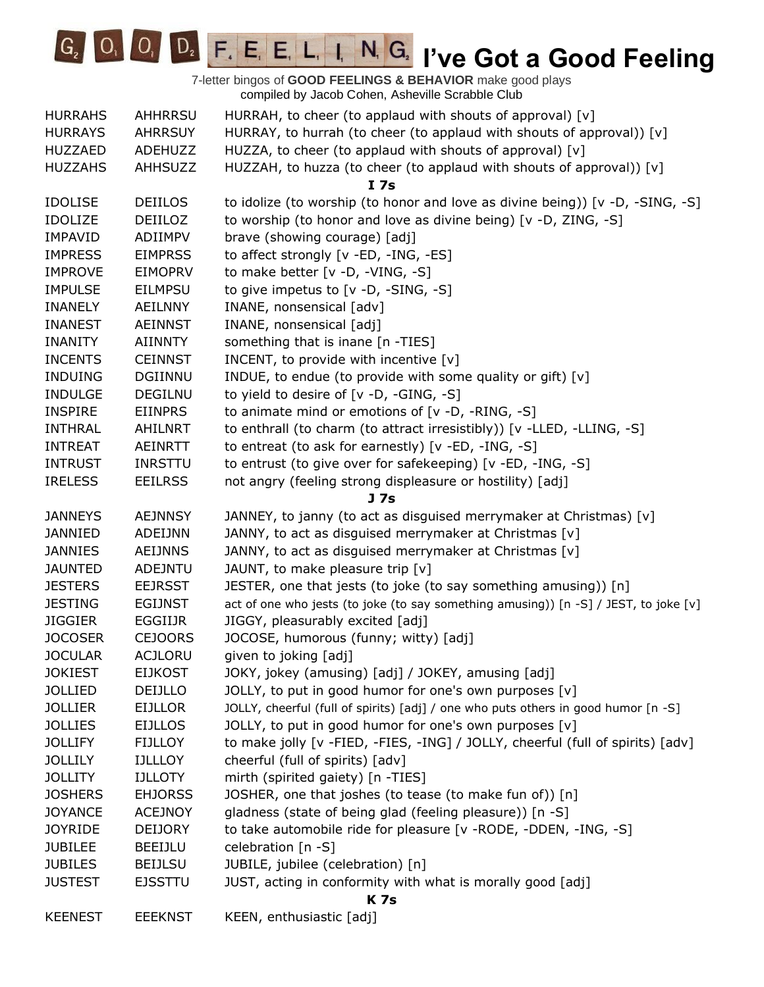

| <b>HURRAHS</b> | <b>AHHRRSU</b> | HURRAH, to cheer (to applaud with shouts of approval) [v]                            |
|----------------|----------------|--------------------------------------------------------------------------------------|
| <b>HURRAYS</b> | <b>AHRRSUY</b> | HURRAY, to hurrah (to cheer (to applaud with shouts of approval)) [v]                |
| <b>HUZZAED</b> | ADEHUZZ        | HUZZA, to cheer (to applaud with shouts of approval) [v]                             |
| <b>HUZZAHS</b> | <b>AHHSUZZ</b> | HUZZAH, to huzza (to cheer (to applaud with shouts of approval)) [v]                 |
|                |                | I <sub>7s</sub>                                                                      |
| <b>IDOLISE</b> | <b>DEIILOS</b> | to idolize (to worship (to honor and love as divine being)) [ $v$ -D, -SING, -S]     |
| <b>IDOLIZE</b> | DEIILOZ        | to worship (to honor and love as divine being) [v -D, ZING, -S]                      |
| <b>IMPAVID</b> | ADIIMPV        | brave (showing courage) [adj]                                                        |
| <b>IMPRESS</b> | <b>EIMPRSS</b> | to affect strongly [v -ED, -ING, -ES]                                                |
| <b>IMPROVE</b> | <b>EIMOPRV</b> | to make better [v -D, -VING, -S]                                                     |
| <b>IMPULSE</b> | <b>EILMPSU</b> | to give impetus to [v -D, -SING, -S]                                                 |
| <b>INANELY</b> | <b>AEILNNY</b> | INANE, nonsensical [adv]                                                             |
| <b>INANEST</b> | <b>AEINNST</b> | INANE, nonsensical [adj]                                                             |
| <b>INANITY</b> | <b>AIINNTY</b> | something that is inane [n -TIES]                                                    |
| <b>INCENTS</b> | <b>CEINNST</b> | INCENT, to provide with incentive $[v]$                                              |
| <b>INDUING</b> | <b>DGIINNU</b> | INDUE, to endue (to provide with some quality or gift) [v]                           |
| <b>INDULGE</b> | <b>DEGILNU</b> | to yield to desire of [v -D, -GING, -S]                                              |
| <b>INSPIRE</b> | <b>EIINPRS</b> | to animate mind or emotions of [v -D, -RING, -S]                                     |
| <b>INTHRAL</b> | AHILNRT        | to enthrall (to charm (to attract irresistibly)) [v -LLED, -LLING, -S]               |
| <b>INTREAT</b> | AEINRTT        | to entreat (to ask for earnestly) [v -ED, -ING, -S]                                  |
| <b>INTRUST</b> | <b>INRSTTU</b> | to entrust (to give over for safekeeping) [v -ED, -ING, -S]                          |
| <b>IRELESS</b> | <b>EEILRSS</b> | not angry (feeling strong displeasure or hostility) [adj]                            |
|                |                | <b>J</b> 7s                                                                          |
| <b>JANNEYS</b> | <b>AEJNNSY</b> | JANNEY, to janny (to act as disguised merrymaker at Christmas) [v]                   |
| <b>JANNIED</b> | ADEIJNN        | JANNY, to act as disguised merrymaker at Christmas [v]                               |
| <b>JANNIES</b> | <b>AEIJNNS</b> | JANNY, to act as disguised merrymaker at Christmas [v]                               |
| <b>JAUNTED</b> | ADEJNTU        | JAUNT, to make pleasure trip [v]                                                     |
| <b>JESTERS</b> | <b>EEJRSST</b> | JESTER, one that jests (to joke (to say something amusing)) [n]                      |
| <b>JESTING</b> | <b>EGIJNST</b> | act of one who jests (to joke (to say something amusing)) [n -S] / JEST, to joke [v] |
| <b>JIGGIER</b> | EGGIIJR        | JIGGY, pleasurably excited [adj]                                                     |
| <b>JOCOSER</b> | <b>CEJOORS</b> | JOCOSE, humorous (funny; witty) [adj]                                                |
| <b>JOCULAR</b> | <b>ACJLORU</b> | given to joking [adj]                                                                |
| <b>JOKIEST</b> | <b>EIJKOST</b> | JOKY, jokey (amusing) [adj] / JOKEY, amusing [adj]                                   |
| <b>JOLLIED</b> | DEIJLLO        | JOLLY, to put in good humor for one's own purposes [v]                               |
| <b>JOLLIER</b> | <b>EIJLLOR</b> | JOLLY, cheerful (full of spirits) [adj] / one who puts others in good humor [n -S]   |
| <b>JOLLIES</b> | <b>EIJLLOS</b> | JOLLY, to put in good humor for one's own purposes [v]                               |
| <b>JOLLIFY</b> | <b>FIJLLOY</b> | to make jolly [v -FIED, -FIES, -ING] / JOLLY, cheerful (full of spirits) [adv]       |
| <b>JOLLILY</b> | <b>IJLLLOY</b> | cheerful (full of spirits) [adv]                                                     |
| <b>JOLLITY</b> | <b>IJLLOTY</b> | mirth (spirited gaiety) [n -TIES]                                                    |
| <b>JOSHERS</b> | <b>EHJORSS</b> | JOSHER, one that joshes (to tease (to make fun of)) [n]                              |
| <b>JOYANCE</b> | <b>ACEJNOY</b> | gladness (state of being glad (feeling pleasure)) [n -S]                             |
| <b>JOYRIDE</b> | <b>DEIJORY</b> | to take automobile ride for pleasure [v - RODE, - DDEN, -ING, -S]                    |
| <b>JUBILEE</b> | <b>BEEIJLU</b> | celebration $[n -S]$                                                                 |
| <b>JUBILES</b> | <b>BEIJLSU</b> | JUBILE, jubilee (celebration) [n]                                                    |
| <b>JUSTEST</b> | <b>EJSSTTU</b> | JUST, acting in conformity with what is morally good [adj]                           |
| <b>K7s</b>     |                |                                                                                      |
| <b>KEENEST</b> | <b>EEEKNST</b> | KEEN, enthusiastic [adj]                                                             |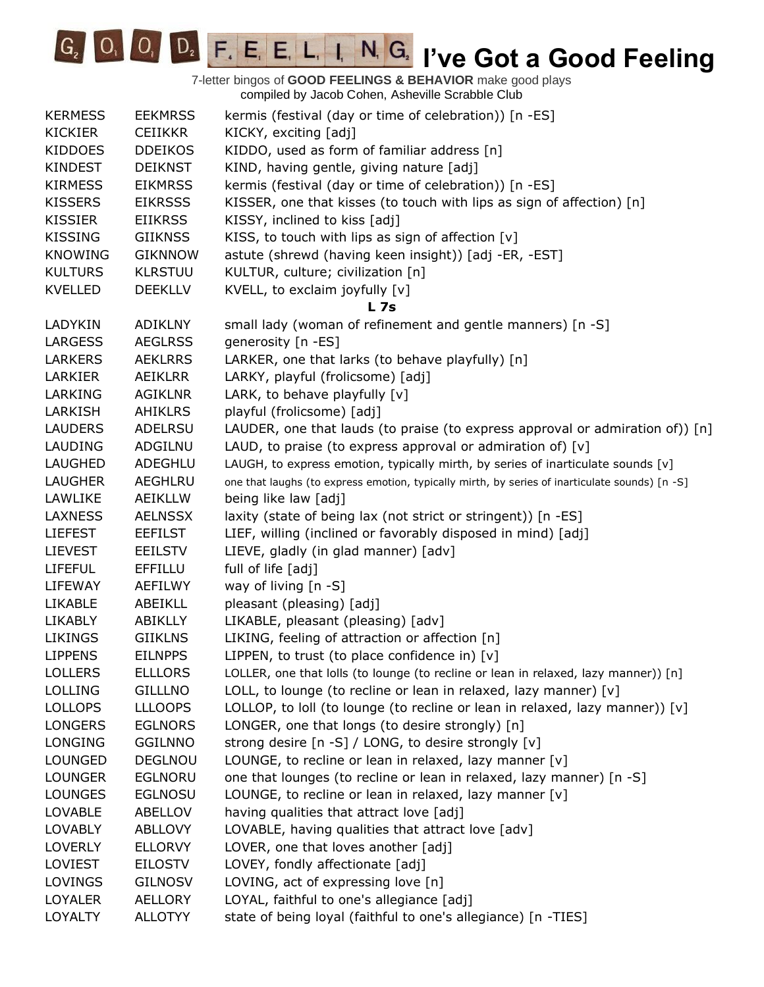

7-letter bingos of **GOOD FEELINGS & BEHAVIOR** make good plays compiled by Jacob Cohen, Asheville Scrabble Club KERMESS EEKMRSS kermis (festival (day or time of celebration)) [n -ES] KICKIER CEIIKKR KICKY, exciting [adj] KIDDOES DDEIKOS KIDDO, used as form of familiar address [n] KINDEST DEIKNST KIND, having gentle, giving nature [adj] KIRMESS EIKMRSS kermis (festival (day or time of celebration)) [n -ES] KISSERS EIKRSSS KISSER, one that kisses (to touch with lips as sign of affection) [n] KISSIER EIIKRSS KISSY, inclined to kiss [adj] KISSING GIIKNSS KISS, to touch with lips as sign of affection  $[v]$ KNOWING GIKNNOW astute (shrewd (having keen insight)) [adj -ER, -EST] KULTURS KLRSTUU KULTUR, culture; civilization [n] KVELLED DEEKLLV KVELL, to exclaim joyfully [v] **L 7s** LADYKIN ADIKLNY small lady (woman of refinement and gentle manners) [n -S] LARGESS AEGLRSS generosity [n -ES] LARKERS AEKLRRS LARKER, one that larks (to behave playfully) [n] LARKIER AEIKLRR LARKY, playful (frolicsome) [adj] LARKING AGIKLNR LARK, to behave playfully [v] LARKISH AHIKLRS playful (frolicsome) [adj] LAUDERS ADELRSU LAUDER, one that lauds (to praise (to express approval or admiration of)) [n] LAUDING ADGILNU LAUD, to praise (to express approval or admiration of)  $[v]$ LAUGHED ADEGHLU LAUGH, to express emotion, typically mirth, by series of inarticulate sounds [v] LAUGHER AEGHLRU one that laughs (to express emotion, typically mirth, by series of inarticulate sounds) [n -S] LAWLIKE AEIKLLW being like law [adj] LAXNESS AELNSSX laxity (state of being lax (not strict or stringent)) [n -ES] LIEFEST EEFILST LIEF, willing (inclined or favorably disposed in mind) [adj] LIEVEST EEILSTV LIEVE, gladly (in glad manner) [adv] LIFEFUL EFFILLU full of life [adj] LIFEWAY AEFILWY way of living [n -S] LIKABLE ABEIKLL pleasant (pleasing) [adj] LIKABLY ABIKLLY LIKABLE, pleasant (pleasing) [adv] LIKINGS GIIKLNS LIKING, feeling of attraction or affection [n] LIPPENS EILNPPS LIPPEN, to trust (to place confidence in) [v] LOLLERS ELLLORS LOLLER, one that lolls (to lounge (to recline or lean in relaxed, lazy manner)) [n] LOLLING GILLLNO LOLL, to lounge (to recline or lean in relaxed, lazy manner) [v] LOLLOPS LLLOOPS LOLLOP, to loll (to lounge (to recline or lean in relaxed, lazy manner)) [v] LONGERS EGLNORS LONGER, one that longs (to desire strongly) [n] LONGING GGILNNO strong desire [n -S] / LONG, to desire strongly [v] LOUNGED DEGLNOU LOUNGE, to recline or lean in relaxed, lazy manner [v] LOUNGER EGLNORU one that lounges (to recline or lean in relaxed, lazy manner) [n -S] LOUNGES EGLNOSU LOUNGE, to recline or lean in relaxed, lazy manner [v] LOVABLE ABELLOV having qualities that attract love [adj] LOVABLY ABLLOVY LOVABLE, having qualities that attract love [adv] LOVERLY ELLORVY LOVER, one that loves another [adj] LOVIEST EILOSTV LOVEY, fondly affectionate [adj] LOVINGS GILNOSV LOVING, act of expressing love [n] LOYALER AELLORY LOYAL, faithful to one's allegiance [adj] LOYALTY ALLOTYY state of being loyal (faithful to one's allegiance) [n -TIES]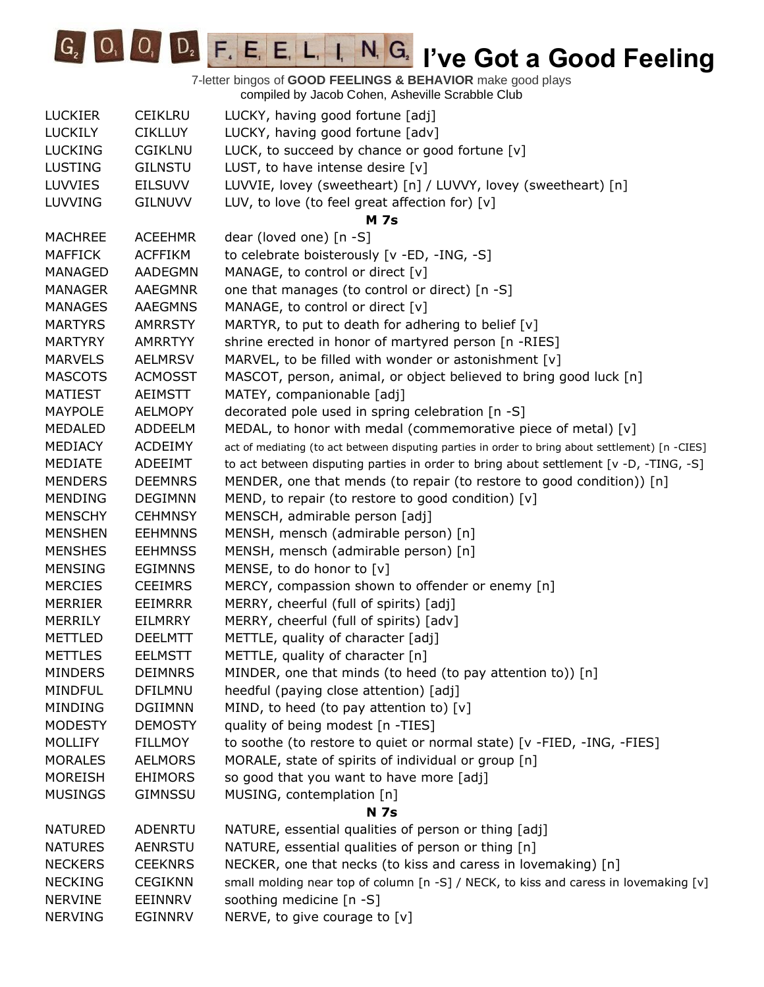**IC**<sub>2</sub> **IO**<sub>2</sub> **I**<sub>2</sub> **I**<sub>2</sub> **I**<sub>2</sub> **E**<sub>1</sub> **E**<sub>1</sub> **L**<sub>1</sub> **I**<sub>1</sub> **I**<sub>1</sub> **C**<sub>2</sub> **I**<sup>2</sup> **Ve Got a Good Feeling** 

|                |                | somplica by cacco conon, honovino colabbio clab                                                  |
|----------------|----------------|--------------------------------------------------------------------------------------------------|
| <b>LUCKIER</b> | <b>CEIKLRU</b> | LUCKY, having good fortune [adj]                                                                 |
| <b>LUCKILY</b> | <b>CIKLLUY</b> | LUCKY, having good fortune [adv]                                                                 |
| <b>LUCKING</b> | <b>CGIKLNU</b> | LUCK, to succeed by chance or good fortune [v]                                                   |
| <b>LUSTING</b> | <b>GILNSTU</b> | LUST, to have intense desire [v]                                                                 |
| <b>LUVVIES</b> | <b>EILSUVV</b> | LUVVIE, lovey (sweetheart) [n] / LUVVY, lovey (sweetheart) [n]                                   |
| <b>LUVVING</b> | <b>GILNUVV</b> | LUV, to love (to feel great affection for) $[v]$                                                 |
|                |                | <b>M</b> 7s                                                                                      |
| <b>MACHREE</b> | <b>ACEEHMR</b> | dear (loved one) [n -S]                                                                          |
| <b>MAFFICK</b> | <b>ACFFIKM</b> | to celebrate boisterously [v -ED, -ING, -S]                                                      |
| MANAGED        | AADEGMN        | MANAGE, to control or direct [v]                                                                 |
| <b>MANAGER</b> | <b>AAEGMNR</b> | one that manages (to control or direct) [n -S]                                                   |
| <b>MANAGES</b> | <b>AAEGMNS</b> | MANAGE, to control or direct [v]                                                                 |
| <b>MARTYRS</b> | <b>AMRRSTY</b> | MARTYR, to put to death for adhering to belief $[v]$                                             |
| <b>MARTYRY</b> | <b>AMRRTYY</b> | shrine erected in honor of martyred person [n -RIES]                                             |
| <b>MARVELS</b> | <b>AELMRSV</b> | MARVEL, to be filled with wonder or astonishment [v]                                             |
| <b>MASCOTS</b> | <b>ACMOSST</b> | MASCOT, person, animal, or object believed to bring good luck [n]                                |
| <b>MATIEST</b> | <b>AEIMSTT</b> | MATEY, companionable [adj]                                                                       |
| <b>MAYPOLE</b> | <b>AELMOPY</b> | decorated pole used in spring celebration [n -S]                                                 |
| <b>MEDALED</b> | ADDEELM        | MEDAL, to honor with medal (commemorative piece of metal) [v]                                    |
| <b>MEDIACY</b> | <b>ACDEIMY</b> | act of mediating (to act between disputing parties in order to bring about settlement) [n -CIES] |
| MEDIATE        | ADEEIMT        | to act between disputing parties in order to bring about settlement [v -D, -TING, -S]            |
| <b>MENDERS</b> | <b>DEEMNRS</b> | MENDER, one that mends (to repair (to restore to good condition)) [n]                            |
| <b>MENDING</b> | <b>DEGIMNN</b> | MEND, to repair (to restore to good condition) $[v]$                                             |
| <b>MENSCHY</b> | <b>CEHMNSY</b> | MENSCH, admirable person [adj]                                                                   |
| <b>MENSHEN</b> | <b>EEHMNNS</b> | MENSH, mensch (admirable person) [n]                                                             |
| <b>MENSHES</b> | <b>EEHMNSS</b> | MENSH, mensch (admirable person) [n]                                                             |
| <b>MENSING</b> | <b>EGIMNNS</b> | MENSE, to do honor to [v]                                                                        |
| <b>MERCIES</b> | <b>CEEIMRS</b> | MERCY, compassion shown to offender or enemy [n]                                                 |
| <b>MERRIER</b> | <b>EEIMRRR</b> | MERRY, cheerful (full of spirits) [adj]                                                          |
| <b>MERRILY</b> | <b>EILMRRY</b> | MERRY, cheerful (full of spirits) [adv]                                                          |
| <b>METTLED</b> | <b>DEELMTT</b> | METTLE, quality of character [adj]                                                               |
| <b>METTLES</b> | <b>EELMSTT</b> | METTLE, quality of character [n]                                                                 |
| <b>MINDERS</b> | <b>DEIMNRS</b> | MINDER, one that minds (to heed (to pay attention to)) [n]                                       |
| <b>MINDFUL</b> | DFILMNU        | heedful (paying close attention) [adj]                                                           |
| <b>MINDING</b> | <b>DGIIMNN</b> | MIND, to heed (to pay attention to) [v]                                                          |
| <b>MODESTY</b> | <b>DEMOSTY</b> | quality of being modest [n -TIES]                                                                |
| <b>MOLLIFY</b> | <b>FILLMOY</b> | to soothe (to restore to quiet or normal state) [v -FIED, -ING, -FIES]                           |
| <b>MORALES</b> | <b>AELMORS</b> | MORALE, state of spirits of individual or group [n]                                              |
| <b>MOREISH</b> | <b>EHIMORS</b> | so good that you want to have more [adj]                                                         |
| <b>MUSINGS</b> | <b>GIMNSSU</b> | MUSING, contemplation [n]                                                                        |
|                |                | <b>N</b> 7s                                                                                      |
| <b>NATURED</b> | ADENRTU        | NATURE, essential qualities of person or thing [adj]                                             |
| <b>NATURES</b> | <b>AENRSTU</b> | NATURE, essential qualities of person or thing [n]                                               |
| <b>NECKERS</b> | <b>CEEKNRS</b> | NECKER, one that necks (to kiss and caress in lovemaking) [n]                                    |
| <b>NECKING</b> | <b>CEGIKNN</b> | small molding near top of column [n -S] / NECK, to kiss and caress in lovemaking [v]             |
| <b>NERVINE</b> | EEINNRV        | soothing medicine [n -S]                                                                         |
| <b>NERVING</b> | <b>EGINNRV</b> | NERVE, to give courage to [v]                                                                    |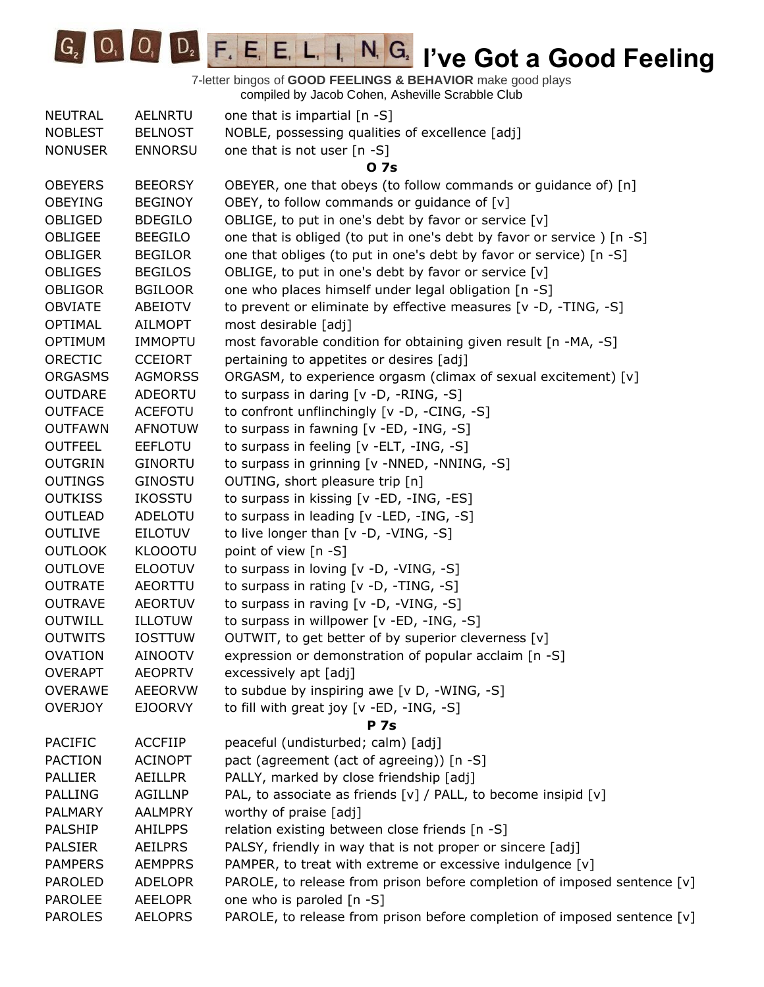**IC<sub>2</sub> IO<sub>2</sub> I**<sub>2</sub> **I**<sub>2</sub> **E**<sub>2</sub> **E**<sub>1</sub> **E**<sub>1</sub> **L**<sub>1</sub>**I**<sub>1</sub> **I**<sub>1</sub> **C**<sub>2</sub> **I**<sup>2</sup> **Ve Got a Good Feeling** 

| <b>NEUTRAL</b> | <b>AELNRTU</b> | one that is impartial [n -S]                                             |
|----------------|----------------|--------------------------------------------------------------------------|
| <b>NOBLEST</b> | <b>BELNOST</b> | NOBLE, possessing qualities of excellence [adj]                          |
| <b>NONUSER</b> | <b>ENNORSU</b> | one that is not user $[n - S]$                                           |
|                |                | 0 7s                                                                     |
| <b>OBEYERS</b> | <b>BEEORSY</b> | OBEYER, one that obeys (to follow commands or guidance of) [n]           |
| <b>OBEYING</b> | <b>BEGINOY</b> | OBEY, to follow commands or guidance of [v]                              |
| OBLIGED        | <b>BDEGILO</b> | OBLIGE, to put in one's debt by favor or service [v]                     |
| OBLIGEE        | <b>BEEGILO</b> | one that is obliged (to put in one's debt by favor or service) [n -S]    |
| <b>OBLIGER</b> | <b>BEGILOR</b> | one that obliges (to put in one's debt by favor or service) [n -S]       |
| <b>OBLIGES</b> | <b>BEGILOS</b> | OBLIGE, to put in one's debt by favor or service [v]                     |
| <b>OBLIGOR</b> | <b>BGILOOR</b> | one who places himself under legal obligation [n -S]                     |
| <b>OBVIATE</b> | ABEIOTV        | to prevent or eliminate by effective measures [v -D, -TING, -S]          |
| <b>OPTIMAL</b> | <b>AILMOPT</b> | most desirable [adj]                                                     |
| <b>OPTIMUM</b> | <b>IMMOPTU</b> | most favorable condition for obtaining given result [n -MA, -S]          |
| ORECTIC        | <b>CCEIORT</b> | pertaining to appetites or desires [adj]                                 |
| <b>ORGASMS</b> | <b>AGMORSS</b> | ORGASM, to experience orgasm (climax of sexual excitement) [v]           |
| <b>OUTDARE</b> | <b>ADEORTU</b> | to surpass in daring [v -D, -RING, -S]                                   |
| <b>OUTFACE</b> | <b>ACEFOTU</b> | to confront unflinchingly [v -D, -CING, -S]                              |
| <b>OUTFAWN</b> | <b>AFNOTUW</b> | to surpass in fawning [v -ED, -ING, -S]                                  |
| <b>OUTFEEL</b> | <b>EEFLOTU</b> | to surpass in feeling [v -ELT, -ING, -S]                                 |
| <b>OUTGRIN</b> | <b>GINORTU</b> | to surpass in grinning [v -NNED, -NNING, -S]                             |
| <b>OUTINGS</b> | <b>GINOSTU</b> | OUTING, short pleasure trip [n]                                          |
| <b>OUTKISS</b> | <b>IKOSSTU</b> | to surpass in kissing [v -ED, -ING, -ES]                                 |
| <b>OUTLEAD</b> | ADELOTU        | to surpass in leading [v -LED, -ING, -S]                                 |
| <b>OUTLIVE</b> | <b>EILOTUV</b> | to live longer than [v -D, -VING, -S]                                    |
| <b>OUTLOOK</b> | <b>KLOOOTU</b> | point of view [n -S]                                                     |
| <b>OUTLOVE</b> | <b>ELOOTUV</b> | to surpass in loving [v -D, -VING, -S]                                   |
| <b>OUTRATE</b> | AEORTTU        | to surpass in rating [v -D, -TING, -S]                                   |
| <b>OUTRAVE</b> | <b>AEORTUV</b> | to surpass in raving [v -D, -VING, -S]                                   |
| <b>OUTWILL</b> | <b>ILLOTUW</b> | to surpass in willpower [v -ED, -ING, -S]                                |
| <b>OUTWITS</b> | <b>IOSTTUW</b> | OUTWIT, to get better of by superior cleverness [v]                      |
| <b>OVATION</b> | <b>AINOOTV</b> | expression or demonstration of popular acclaim [n -S]                    |
| <b>OVERAPT</b> | <b>AEOPRTV</b> | excessively apt [adj]                                                    |
| <b>OVERAWE</b> | <b>AEEORVW</b> | to subdue by inspiring awe [v D, -WING, -S]                              |
| <b>OVERJOY</b> | <b>EJOORVY</b> | to fill with great joy [v -ED, -ING, -S]                                 |
|                |                | <b>P</b> 7s                                                              |
| <b>PACIFIC</b> | <b>ACCFIIP</b> | peaceful (undisturbed; calm) [adj]                                       |
| <b>PACTION</b> | <b>ACINOPT</b> | pact (agreement (act of agreeing)) [n -S]                                |
| <b>PALLIER</b> | AEILLPR        | PALLY, marked by close friendship [adj]                                  |
| <b>PALLING</b> | <b>AGILLNP</b> | PAL, to associate as friends [v] / PALL, to become insipid [v]           |
| <b>PALMARY</b> | <b>AALMPRY</b> | worthy of praise [adj]                                                   |
| <b>PALSHIP</b> | <b>AHILPPS</b> | relation existing between close friends [n -S]                           |
| <b>PALSIER</b> | <b>AEILPRS</b> | PALSY, friendly in way that is not proper or sincere [adj]               |
| <b>PAMPERS</b> | <b>AEMPPRS</b> | PAMPER, to treat with extreme or excessive indulgence [v]                |
| <b>PAROLED</b> | <b>ADELOPR</b> | PAROLE, to release from prison before completion of imposed sentence [v] |
| <b>PAROLEE</b> | <b>AEELOPR</b> | one who is paroled [n -S]                                                |
| <b>PAROLES</b> | <b>AELOPRS</b> | PAROLE, to release from prison before completion of imposed sentence [v] |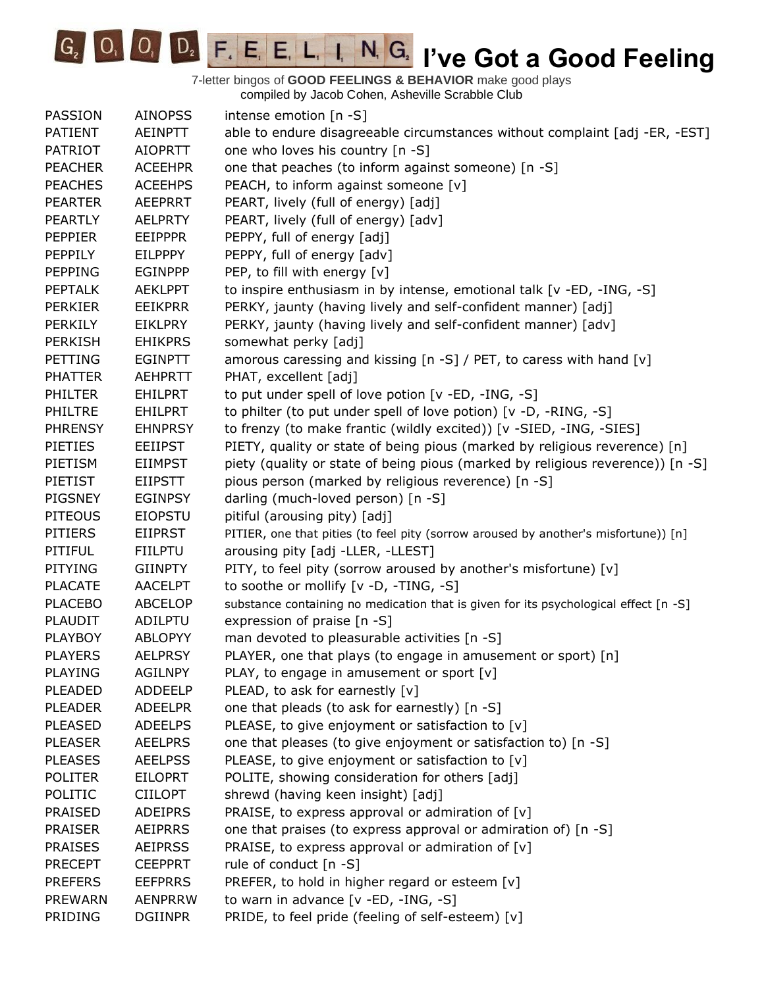

| PASSION        | <b>AINOPSS</b> | intense emotion [n -S]                                                               |
|----------------|----------------|--------------------------------------------------------------------------------------|
| <b>PATIENT</b> | <b>AEINPTT</b> | able to endure disagreeable circumstances without complaint [adj -ER, -EST]          |
| <b>PATRIOT</b> | <b>AIOPRTT</b> | one who loves his country [n -S]                                                     |
| <b>PEACHER</b> | <b>ACEEHPR</b> | one that peaches (to inform against someone) [n -S]                                  |
| <b>PEACHES</b> | <b>ACEEHPS</b> | PEACH, to inform against someone [v]                                                 |
| <b>PEARTER</b> | <b>AEEPRRT</b> | PEART, lively (full of energy) [adj]                                                 |
| <b>PEARTLY</b> | <b>AELPRTY</b> | PEART, lively (full of energy) [adv]                                                 |
| <b>PEPPIER</b> | <b>EEIPPPR</b> | PEPPY, full of energy [adj]                                                          |
| PEPPILY        | <b>EILPPPY</b> | PEPPY, full of energy [adv]                                                          |
| <b>PEPPING</b> | <b>EGINPPP</b> | PEP, to fill with energy [v]                                                         |
| <b>PEPTALK</b> | <b>AEKLPPT</b> | to inspire enthusiasm in by intense, emotional talk [v -ED, -ING, -S]                |
| <b>PERKIER</b> | <b>EEIKPRR</b> | PERKY, jaunty (having lively and self-confident manner) [adj]                        |
| <b>PERKILY</b> | <b>EIKLPRY</b> | PERKY, jaunty (having lively and self-confident manner) [adv]                        |
| <b>PERKISH</b> | <b>EHIKPRS</b> | somewhat perky [adj]                                                                 |
| PETTING        | <b>EGINPTT</b> | amorous caressing and kissing [n -S] / PET, to caress with hand [v]                  |
| <b>PHATTER</b> | <b>AEHPRTT</b> | PHAT, excellent [adj]                                                                |
| <b>PHILTER</b> | <b>EHILPRT</b> | to put under spell of love potion [v -ED, -ING, -S]                                  |
| PHILTRE        | <b>EHILPRT</b> | to philter (to put under spell of love potion) [v -D, -RING, -S]                     |
| <b>PHRENSY</b> | <b>EHNPRSY</b> | to frenzy (to make frantic (wildly excited)) [v -SIED, -ING, -SIES]                  |
| PIETIES        | <b>EEIIPST</b> | PIETY, quality or state of being pious (marked by religious reverence) [n]           |
| PIETISM        | <b>EIIMPST</b> | piety (quality or state of being pious (marked by religious reverence)) [n -S]       |
| PIETIST        | <b>EIIPSTT</b> | pious person (marked by religious reverence) [n -S]                                  |
| <b>PIGSNEY</b> | <b>EGINPSY</b> | darling (much-loved person) [n -S]                                                   |
| <b>PITEOUS</b> | <b>EIOPSTU</b> | pitiful (arousing pity) [adj]                                                        |
| <b>PITIERS</b> | <b>EIIPRST</b> | PITIER, one that pities (to feel pity (sorrow aroused by another's misfortune)) [n]  |
| PITIFUL        | <b>FIILPTU</b> | arousing pity [adj -LLER, -LLEST]                                                    |
| <b>PITYING</b> | <b>GIINPTY</b> | PITY, to feel pity (sorrow aroused by another's misfortune) [v]                      |
| <b>PLACATE</b> | <b>AACELPT</b> | to soothe or mollify [v -D, -TING, -S]                                               |
| <b>PLACEBO</b> | <b>ABCELOP</b> | substance containing no medication that is given for its psychological effect [n -S] |
| <b>PLAUDIT</b> | ADILPTU        | expression of praise [n -S]                                                          |
| <b>PLAYBOY</b> | <b>ABLOPYY</b> | man devoted to pleasurable activities [n -S]                                         |
| <b>PLAYERS</b> | <b>AELPRSY</b> | PLAYER, one that plays (to engage in amusement or sport) [n]                         |
| <b>PLAYING</b> | <b>AGILNPY</b> | PLAY, to engage in amusement or sport $[v]$                                          |
| <b>PLEADED</b> | <b>ADDEELP</b> | PLEAD, to ask for earnestly [v]                                                      |
| <b>PLEADER</b> | <b>ADEELPR</b> | one that pleads (to ask for earnestly) [n -S]                                        |
| <b>PLEASED</b> | <b>ADEELPS</b> | PLEASE, to give enjoyment or satisfaction to [v]                                     |
| <b>PLEASER</b> | <b>AEELPRS</b> | one that pleases (to give enjoyment or satisfaction to) [n -S]                       |
| <b>PLEASES</b> | <b>AEELPSS</b> | PLEASE, to give enjoyment or satisfaction to [v]                                     |
| <b>POLITER</b> | <b>EILOPRT</b> | POLITE, showing consideration for others [adj]                                       |
| POLITIC        | <b>CIILOPT</b> | shrewd (having keen insight) [adj]                                                   |
| <b>PRAISED</b> | <b>ADEIPRS</b> | PRAISE, to express approval or admiration of $[v]$                                   |
| <b>PRAISER</b> | <b>AEIPRRS</b> | one that praises (to express approval or admiration of) [n -S]                       |
| <b>PRAISES</b> | <b>AEIPRSS</b> | PRAISE, to express approval or admiration of $[v]$                                   |
| <b>PRECEPT</b> | <b>CEEPPRT</b> | rule of conduct [n -S]                                                               |
| <b>PREFERS</b> | <b>EEFPRRS</b> | PREFER, to hold in higher regard or esteem [v]                                       |
| <b>PREWARN</b> | <b>AENPRRW</b> | to warn in advance [v -ED, -ING, -S]                                                 |
| PRIDING        | <b>DGIINPR</b> | PRIDE, to feel pride (feeling of self-esteem) [v]                                    |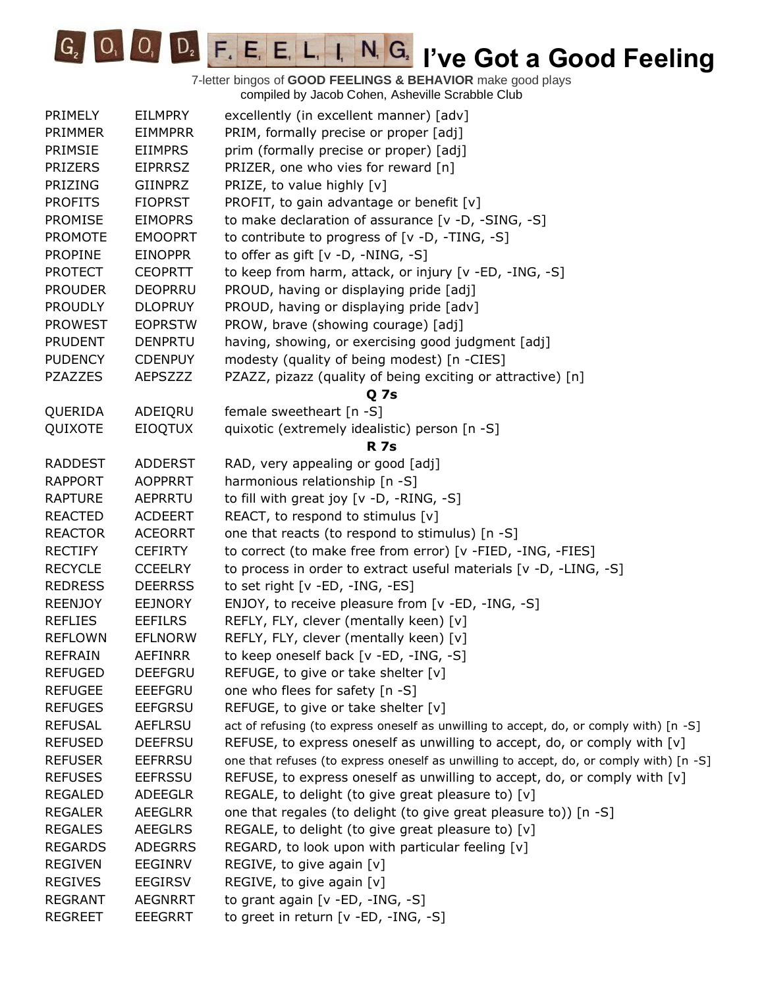**IC<sub>2</sub> IVE COODE FIGURE IN GRAVIT TO A GOOD Feeling** 

| PRIMELY        | <b>EILMPRY</b> | excellently (in excellent manner) [adv]                                                 |
|----------------|----------------|-----------------------------------------------------------------------------------------|
| PRIMMER        | <b>EIMMPRR</b> | PRIM, formally precise or proper [adj]                                                  |
| PRIMSIE        | <b>EIIMPRS</b> | prim (formally precise or proper) [adj]                                                 |
| <b>PRIZERS</b> | <b>EIPRRSZ</b> | PRIZER, one who vies for reward [n]                                                     |
| PRIZING        | GIINPRZ        | PRIZE, to value highly [v]                                                              |
| <b>PROFITS</b> | <b>FIOPRST</b> | PROFIT, to gain advantage or benefit [v]                                                |
| <b>PROMISE</b> | <b>EIMOPRS</b> | to make declaration of assurance [v -D, -SING, -S]                                      |
| <b>PROMOTE</b> | <b>EMOOPRT</b> | to contribute to progress of [v -D, -TING, -S]                                          |
| <b>PROPINE</b> | <b>EINOPPR</b> | to offer as gift $[v -D, -NING, -S]$                                                    |
| <b>PROTECT</b> | <b>CEOPRTT</b> | to keep from harm, attack, or injury [v -ED, -ING, -S]                                  |
| <b>PROUDER</b> | <b>DEOPRRU</b> | PROUD, having or displaying pride [adj]                                                 |
| <b>PROUDLY</b> | <b>DLOPRUY</b> | PROUD, having or displaying pride [adv]                                                 |
| <b>PROWEST</b> | <b>EOPRSTW</b> | PROW, brave (showing courage) [adj]                                                     |
| <b>PRUDENT</b> | <b>DENPRTU</b> | having, showing, or exercising good judgment [adj]                                      |
| <b>PUDENCY</b> | <b>CDENPUY</b> | modesty (quality of being modest) [n -CIES]                                             |
| <b>PZAZZES</b> | <b>AEPSZZZ</b> | PZAZZ, pizazz (quality of being exciting or attractive) [n]                             |
|                |                | Q 7s                                                                                    |
| QUERIDA        | ADEIQRU        | female sweetheart [n -S]                                                                |
| QUIXOTE        | <b>EIOQTUX</b> | quixotic (extremely idealistic) person [n -S]                                           |
|                |                | <b>R</b> 7s                                                                             |
| <b>RADDEST</b> | <b>ADDERST</b> | RAD, very appealing or good [adj]                                                       |
|                |                |                                                                                         |
| <b>RAPPORT</b> | <b>AOPPRRT</b> | harmonious relationship [n -S]                                                          |
| <b>RAPTURE</b> | AEPRRTU        | to fill with great joy $[v -D, -RING, -S]$                                              |
| <b>REACTED</b> | ACDEERT        | REACT, to respond to stimulus [v]                                                       |
| <b>REACTOR</b> | <b>ACEORRT</b> | one that reacts (to respond to stimulus) [n -S]                                         |
| <b>RECTIFY</b> | <b>CEFIRTY</b> | to correct (to make free from error) [v -FIED, -ING, -FIES]                             |
| <b>RECYCLE</b> | <b>CCEELRY</b> | to process in order to extract useful materials [v -D, -LING, -S]                       |
| <b>REDRESS</b> | <b>DEERRSS</b> | to set right [v -ED, -ING, -ES]                                                         |
| <b>REENJOY</b> | <b>EEJNORY</b> | ENJOY, to receive pleasure from [v -ED, -ING, -S]                                       |
| <b>REFLIES</b> | <b>EEFILRS</b> | REFLY, FLY, clever (mentally keen) [v]                                                  |
| <b>REFLOWN</b> | <b>EFLNORW</b> | REFLY, FLY, clever (mentally keen) [v]                                                  |
| <b>REFRAIN</b> | <b>AEFINRR</b> | to keep oneself back [v -ED, -ING, -S]                                                  |
| <b>REFUGED</b> | <b>DEEFGRU</b> | REFUGE, to give or take shelter [v]                                                     |
| <b>REFUGEE</b> | <b>EEEFGRU</b> | one who flees for safety [n -S]                                                         |
| <b>REFUGES</b> | <b>EEFGRSU</b> | REFUGE, to give or take shelter [v]                                                     |
| <b>REFUSAL</b> | AEFLRSU        | act of refusing (to express oneself as unwilling to accept, do, or comply with) [n -S]  |
| <b>REFUSED</b> | <b>DEEFRSU</b> | REFUSE, to express oneself as unwilling to accept, do, or comply with [v]               |
| <b>REFUSER</b> | <b>EEFRRSU</b> | one that refuses (to express oneself as unwilling to accept, do, or comply with) [n -S] |
| <b>REFUSES</b> | <b>EEFRSSU</b> | REFUSE, to express oneself as unwilling to accept, do, or comply with $[v]$             |
| <b>REGALED</b> | ADEEGLR        | REGALE, to delight (to give great pleasure to) [v]                                      |
| <b>REGALER</b> | <b>AEEGLRR</b> | one that regales (to delight (to give great pleasure to)) [n -S]                        |
| <b>REGALES</b> | <b>AEEGLRS</b> | REGALE, to delight (to give great pleasure to) [v]                                      |
| <b>REGARDS</b> | <b>ADEGRRS</b> | REGARD, to look upon with particular feeling [v]                                        |
| <b>REGIVEN</b> | EEGINRV        | REGIVE, to give again [v]                                                               |
| <b>REGIVES</b> | <b>EEGIRSV</b> | REGIVE, to give again [v]                                                               |
| <b>REGRANT</b> | <b>AEGNRRT</b> | to grant again [v -ED, -ING, -S]                                                        |
| <b>REGREET</b> | <b>EEEGRRT</b> | to greet in return [v -ED, -ING, -S]                                                    |
|                |                |                                                                                         |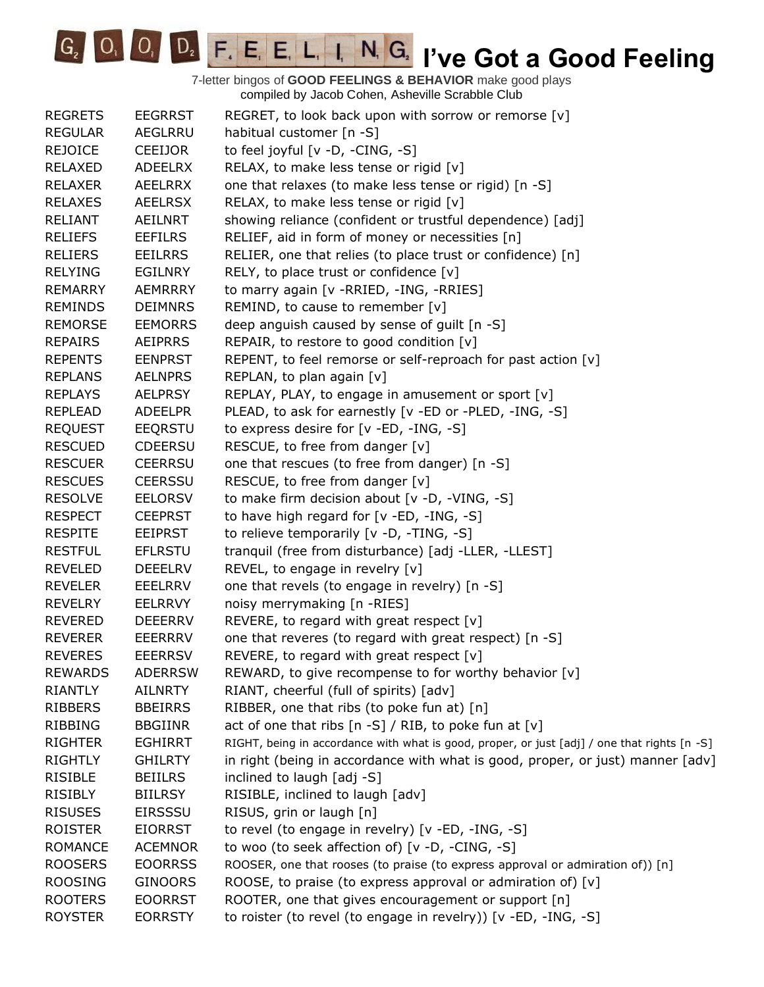G<sub>2</sub> O<sub>1</sub> O<sub>1</sub> D<sub>2</sub> F<sub>1</sub> E<sub>1</sub> E<sub>1</sub> L<sub>1</sub> I<sub>1</sub> N<sub>1</sub> G<sub>2</sub> I've Got a Good Feeling

| <b>REGRETS</b> | <b>EEGRRST</b> | REGRET, to look back upon with sorrow or remorse [v]                                         |
|----------------|----------------|----------------------------------------------------------------------------------------------|
| <b>REGULAR</b> | AEGLRRU        | habitual customer [n -S]                                                                     |
| <b>REJOICE</b> | CEEIJOR        | to feel joyful [v -D, -CING, -S]                                                             |
| RELAXED        | <b>ADEELRX</b> | RELAX, to make less tense or rigid [v]                                                       |
| <b>RELAXER</b> | AEELRRX        | one that relaxes (to make less tense or rigid) [n -S]                                        |
| <b>RELAXES</b> | <b>AEELRSX</b> | RELAX, to make less tense or rigid $[v]$                                                     |
| <b>RELIANT</b> | AEILNRT        | showing reliance (confident or trustful dependence) [adj]                                    |
| <b>RELIEFS</b> | <b>EEFILRS</b> | RELIEF, aid in form of money or necessities [n]                                              |
| <b>RELIERS</b> | <b>EEILRRS</b> | RELIER, one that relies (to place trust or confidence) [n]                                   |
| <b>RELYING</b> | EGILNRY        | RELY, to place trust or confidence [v]                                                       |
| <b>REMARRY</b> | <b>AEMRRRY</b> | to marry again [v - RRIED, - ING, - RRIES]                                                   |
| <b>REMINDS</b> | <b>DEIMNRS</b> | REMIND, to cause to remember [v]                                                             |
| <b>REMORSE</b> | <b>EEMORRS</b> | deep anguish caused by sense of guilt [n -S]                                                 |
| <b>REPAIRS</b> | <b>AEIPRRS</b> | REPAIR, to restore to good condition [v]                                                     |
| <b>REPENTS</b> | <b>EENPRST</b> | REPENT, to feel remorse or self-reproach for past action [v]                                 |
| <b>REPLANS</b> | <b>AELNPRS</b> | REPLAN, to plan again [v]                                                                    |
| <b>REPLAYS</b> | <b>AELPRSY</b> | REPLAY, PLAY, to engage in amusement or sport [v]                                            |
| <b>REPLEAD</b> | <b>ADEELPR</b> | PLEAD, to ask for earnestly [v -ED or -PLED, -ING, -S]                                       |
| <b>REQUEST</b> | EEQRSTU        | to express desire for [v -ED, -ING, -S]                                                      |
| <b>RESCUED</b> | <b>CDEERSU</b> | RESCUE, to free from danger [v]                                                              |
| <b>RESCUER</b> | <b>CEERRSU</b> | one that rescues (to free from danger) [n -S]                                                |
| <b>RESCUES</b> | <b>CEERSSU</b> | RESCUE, to free from danger [v]                                                              |
| <b>RESOLVE</b> | <b>EELORSV</b> | to make firm decision about [v -D, -VING, -S]                                                |
| <b>RESPECT</b> | <b>CEEPRST</b> | to have high regard for [v -ED, -ING, -S]                                                    |
| <b>RESPITE</b> | EEIPRST        | to relieve temporarily [v -D, -TING, -S]                                                     |
| <b>RESTFUL</b> | <b>EFLRSTU</b> | tranquil (free from disturbance) [adj -LLER, -LLEST]                                         |
| <b>REVELED</b> | <b>DEEELRV</b> | REVEL, to engage in revelry [v]                                                              |
| <b>REVELER</b> | <b>EEELRRV</b> | one that revels (to engage in revelry) [n -S]                                                |
| <b>REVELRY</b> | <b>EELRRVY</b> | noisy merrymaking [n -RIES]                                                                  |
| <b>REVERED</b> | <b>DEEERRV</b> | REVERE, to regard with great respect $[v]$                                                   |
| <b>REVERER</b> | <b>EEERRRV</b> | one that reveres (to regard with great respect) [n -S]                                       |
| <b>REVERES</b> | <b>EEERRSV</b> | REVERE, to regard with great respect $[v]$                                                   |
| <b>REWARDS</b> | <b>ADERRSW</b> | REWARD, to give recompense to for worthy behavior [v]                                        |
| <b>RIANTLY</b> | <b>AILNRTY</b> | RIANT, cheerful (full of spirits) [adv]                                                      |
| <b>RIBBERS</b> | <b>BBEIRRS</b> | RIBBER, one that ribs (to poke fun at) [n]                                                   |
| <b>RIBBING</b> | <b>BBGIINR</b> | act of one that ribs $[n -S] / RIB$ , to poke fun at $[v]$                                   |
| <b>RIGHTER</b> | <b>EGHIRRT</b> | RIGHT, being in accordance with what is good, proper, or just [adj] / one that rights [n -S] |
| <b>RIGHTLY</b> | <b>GHILRTY</b> | in right (being in accordance with what is good, proper, or just) manner [adv]               |
| <b>RISIBLE</b> | <b>BEIILRS</b> | inclined to laugh [adj -S]                                                                   |
| <b>RISIBLY</b> | <b>BIILRSY</b> | RISIBLE, inclined to laugh [adv]                                                             |
| <b>RISUSES</b> | <b>EIRSSSU</b> | RISUS, grin or laugh [n]                                                                     |
| <b>ROISTER</b> | <b>EIORRST</b> | to revel (to engage in revelry) [v -ED, -ING, -S]                                            |
| <b>ROMANCE</b> | <b>ACEMNOR</b> | to woo (to seek affection of) [v -D, -CING, -S]                                              |
| <b>ROOSERS</b> | <b>EOORRSS</b> | ROOSER, one that rooses (to praise (to express approval or admiration of)) [n]               |
| <b>ROOSING</b> | <b>GINOORS</b> | ROOSE, to praise (to express approval or admiration of) $[v]$                                |
| <b>ROOTERS</b> | <b>EOORRST</b> | ROOTER, one that gives encouragement or support [n]                                          |
| <b>ROYSTER</b> | <b>EORRSTY</b> | to roister (to revel (to engage in revelry)) [v -ED, -ING, -S]                               |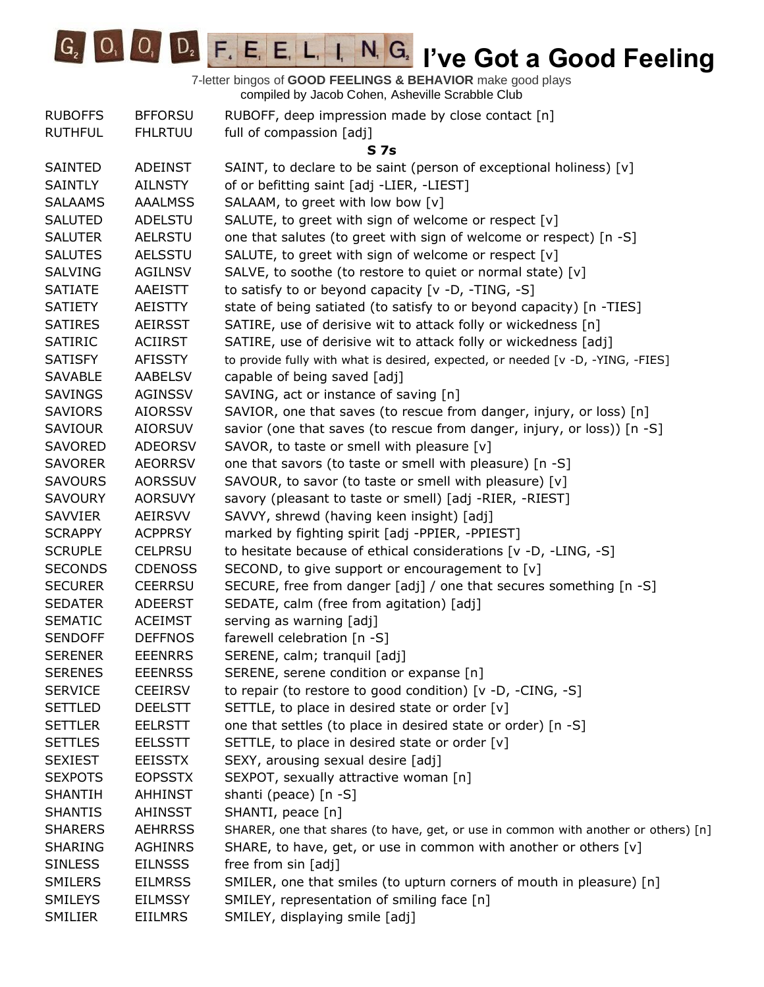

| <b>RUBOFFS</b> | <b>BFFORSU</b> | RUBOFF, deep impression made by close contact [n]                                   |
|----------------|----------------|-------------------------------------------------------------------------------------|
| <b>RUTHFUL</b> | <b>FHLRTUU</b> | full of compassion [adj]                                                            |
|                |                | S 7s                                                                                |
| SAINTED        | <b>ADEINST</b> | SAINT, to declare to be saint (person of exceptional holiness) [v]                  |
| <b>SAINTLY</b> | AILNSTY        | of or befitting saint [adj -LIER, -LIEST]                                           |
| <b>SALAAMS</b> | <b>AAALMSS</b> | SALAAM, to greet with low bow [v]                                                   |
| <b>SALUTED</b> | <b>ADELSTU</b> | SALUTE, to greet with sign of welcome or respect [v]                                |
| <b>SALUTER</b> | <b>AELRSTU</b> | one that salutes (to greet with sign of welcome or respect) [n -S]                  |
| <b>SALUTES</b> | <b>AELSSTU</b> | SALUTE, to greet with sign of welcome or respect [v]                                |
| SALVING        | <b>AGILNSV</b> | SALVE, to soothe (to restore to quiet or normal state) [v]                          |
| <b>SATIATE</b> | AAEISTT        | to satisfy to or beyond capacity [v -D, -TING, -S]                                  |
| <b>SATIETY</b> | AEISTTY        | state of being satiated (to satisfy to or beyond capacity) [n -TIES]                |
| <b>SATIRES</b> | AEIRSST        | SATIRE, use of derisive wit to attack folly or wickedness [n]                       |
| <b>SATIRIC</b> | <b>ACIIRST</b> | SATIRE, use of derisive wit to attack folly or wickedness [adj]                     |
| <b>SATISFY</b> | <b>AFISSTY</b> | to provide fully with what is desired, expected, or needed [v -D, -YING, -FIES]     |
| <b>SAVABLE</b> | AABELSV        | capable of being saved [adj]                                                        |
| <b>SAVINGS</b> | <b>AGINSSV</b> | SAVING, act or instance of saving [n]                                               |
| <b>SAVIORS</b> | <b>AIORSSV</b> | SAVIOR, one that saves (to rescue from danger, injury, or loss) [n]                 |
| <b>SAVIOUR</b> | <b>AIORSUV</b> | savior (one that saves (to rescue from danger, injury, or loss)) [n -S]             |
| SAVORED        | <b>ADEORSV</b> | SAVOR, to taste or smell with pleasure [v]                                          |
| <b>SAVORER</b> | <b>AEORRSV</b> | one that savors (to taste or smell with pleasure) [n -S]                            |
| <b>SAVOURS</b> | <b>AORSSUV</b> | SAVOUR, to savor (to taste or smell with pleasure) [v]                              |
| <b>SAVOURY</b> | <b>AORSUVY</b> | savory (pleasant to taste or smell) [adj -RIER, -RIEST]                             |
| <b>SAVVIER</b> | AEIRSVV        | SAVVY, shrewd (having keen insight) [adj]                                           |
| <b>SCRAPPY</b> | <b>ACPPRSY</b> | marked by fighting spirit [adj -PPIER, -PPIEST]                                     |
| <b>SCRUPLE</b> | <b>CELPRSU</b> | to hesitate because of ethical considerations [v -D, -LING, -S]                     |
| <b>SECONDS</b> | <b>CDENOSS</b> | SECOND, to give support or encouragement to [v]                                     |
| <b>SECURER</b> | <b>CEERRSU</b> | SECURE, free from danger [adj] / one that secures something [n -S]                  |
| <b>SEDATER</b> | <b>ADEERST</b> | SEDATE, calm (free from agitation) [adj]                                            |
| <b>SEMATIC</b> | <b>ACEIMST</b> | serving as warning [adj]                                                            |
| <b>SENDOFF</b> | <b>DEFFNOS</b> | farewell celebration [n -S]                                                         |
| <b>SERENER</b> | <b>EEENRRS</b> | SERENE, calm; tranquil [adj]                                                        |
| <b>SERENES</b> | <b>EEENRSS</b> | SERENE, serene condition or expanse [n]                                             |
| <b>SERVICE</b> | <b>CEEIRSV</b> | to repair (to restore to good condition) $[v -D, -CING, -S]$                        |
| <b>SETTLED</b> | <b>DEELSTT</b> | SETTLE, to place in desired state or order [v]                                      |
| <b>SETTLER</b> | <b>EELRSTT</b> | one that settles (to place in desired state or order) [n -S]                        |
| <b>SETTLES</b> | <b>EELSSTT</b> | SETTLE, to place in desired state or order [v]                                      |
| <b>SEXIEST</b> | <b>EEISSTX</b> | SEXY, arousing sexual desire [adj]                                                  |
| <b>SEXPOTS</b> | <b>EOPSSTX</b> | SEXPOT, sexually attractive woman [n]                                               |
| <b>SHANTIH</b> | <b>AHHINST</b> | shanti (peace) [n -S]                                                               |
| <b>SHANTIS</b> | <b>AHINSST</b> | SHANTI, peace [n]                                                                   |
| <b>SHARERS</b> | <b>AEHRRSS</b> | SHARER, one that shares (to have, get, or use in common with another or others) [n] |
| <b>SHARING</b> | <b>AGHINRS</b> | SHARE, to have, get, or use in common with another or others [v]                    |
| <b>SINLESS</b> | <b>EILNSSS</b> | free from sin [adj]                                                                 |
| <b>SMILERS</b> | <b>EILMRSS</b> | SMILER, one that smiles (to upturn corners of mouth in pleasure) [n]                |
| <b>SMILEYS</b> | <b>EILMSSY</b> | SMILEY, representation of smiling face [n]                                          |
| SMILIER        | <b>EIILMRS</b> | SMILEY, displaying smile [adj]                                                      |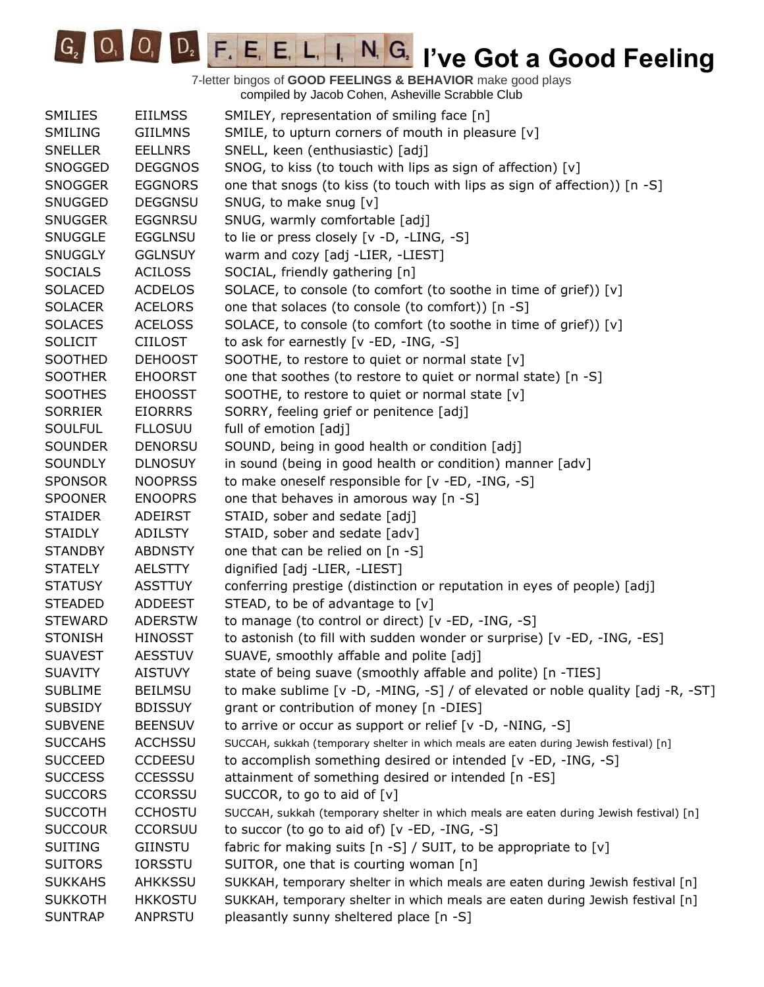G<sub>2</sub> O<sub>1</sub> O<sub>1</sub> D<sub>2</sub> F<sub>1</sub> E<sub>1</sub> E<sub>1</sub> L<sub>1</sub> I<sub>1</sub> N<sub>1</sub> G<sub>2</sub> I've Got a Good Feeling

| <b>SMILIES</b><br><b>EIILMSS</b><br>SMILEY, representation of smiling face [n]<br>SMILE, to upturn corners of mouth in pleasure [v]<br><b>SMILING</b><br><b>GIILMNS</b><br>SNELL, keen (enthusiastic) [adj]<br><b>SNELLER</b><br><b>EELLNRS</b><br>SNOG, to kiss (to touch with lips as sign of affection) [v]<br>SNOGGED<br><b>DEGGNOS</b><br>one that snogs (to kiss (to touch with lips as sign of affection)) [n -S]<br><b>EGGNORS</b><br><b>SNOGGER</b><br>SNUG, to make snug [v]<br><b>SNUGGED</b><br><b>DEGGNSU</b><br>SNUG, warmly comfortable [adj]<br><b>SNUGGER</b><br><b>EGGNRSU</b><br><b>SNUGGLE</b><br><b>EGGLNSU</b><br>to lie or press closely [v -D, -LING, -S]<br>warm and cozy [adj -LIER, -LIEST]<br><b>SNUGGLY</b><br><b>GGLNSUY</b><br>SOCIAL, friendly gathering [n]<br><b>SOCIALS</b><br><b>ACILOSS</b><br><b>ACDELOS</b><br>SOLACE, to console (to comfort (to soothe in time of grief)) [v]<br><b>SOLACED</b><br><b>ACELORS</b><br>one that solaces (to console (to comfort)) [n -S]<br><b>SOLACER</b><br>SOLACE, to console (to comfort (to soothe in time of grief)) [v]<br><b>SOLACES</b><br><b>ACELOSS</b><br><b>SOLICIT</b><br><b>CIILOST</b><br>to ask for earnestly [v -ED, -ING, -S]<br>SOOTHED<br><b>DEHOOST</b><br>SOOTHE, to restore to quiet or normal state [v]<br>one that soothes (to restore to quiet or normal state) [n -S]<br><b>SOOTHER</b><br><b>EHOORST</b><br>SOOTHE, to restore to quiet or normal state [v]<br><b>SOOTHES</b><br><b>EHOOSST</b><br>SORRY, feeling grief or penitence [adj]<br><b>SORRIER</b><br><b>EIORRRS</b><br>full of emotion [adj]<br><b>SOULFUL</b><br><b>FLLOSUU</b><br>SOUND, being in good health or condition [adj]<br><b>SOUNDER</b><br><b>DENORSU</b><br>in sound (being in good health or condition) manner [adv]<br><b>SOUNDLY</b><br><b>DLNOSUY</b><br>to make oneself responsible for [v -ED, -ING, -S]<br><b>SPONSOR</b><br><b>NOOPRSS</b><br>one that behaves in amorous way [n -S]<br><b>SPOONER</b><br><b>ENOOPRS</b><br>ADEIRST<br>STAID, sober and sedate [adj]<br><b>STAIDER</b><br>STAID, sober and sedate [adv]<br><b>STAIDLY</b><br>ADILSTY<br>one that can be relied on [n -S]<br><b>STANDBY</b><br><b>ABDNSTY</b><br><b>STATELY</b><br><b>AELSTTY</b><br>dignified [adj -LIER, -LIEST]<br><b>STATUSY</b><br><b>ASSTTUY</b><br>conferring prestige (distinction or reputation in eyes of people) [adj] |
|-------------------------------------------------------------------------------------------------------------------------------------------------------------------------------------------------------------------------------------------------------------------------------------------------------------------------------------------------------------------------------------------------------------------------------------------------------------------------------------------------------------------------------------------------------------------------------------------------------------------------------------------------------------------------------------------------------------------------------------------------------------------------------------------------------------------------------------------------------------------------------------------------------------------------------------------------------------------------------------------------------------------------------------------------------------------------------------------------------------------------------------------------------------------------------------------------------------------------------------------------------------------------------------------------------------------------------------------------------------------------------------------------------------------------------------------------------------------------------------------------------------------------------------------------------------------------------------------------------------------------------------------------------------------------------------------------------------------------------------------------------------------------------------------------------------------------------------------------------------------------------------------------------------------------------------------------------------------------------------------------------------------------------------------------------------------------------------------------------------------------------------------------------------------------------------------------------------------------------------------------------------------------------------------------------------------------------------------------------------------------------------------------------|
|                                                                                                                                                                                                                                                                                                                                                                                                                                                                                                                                                                                                                                                                                                                                                                                                                                                                                                                                                                                                                                                                                                                                                                                                                                                                                                                                                                                                                                                                                                                                                                                                                                                                                                                                                                                                                                                                                                                                                                                                                                                                                                                                                                                                                                                                                                                                                                                                       |
|                                                                                                                                                                                                                                                                                                                                                                                                                                                                                                                                                                                                                                                                                                                                                                                                                                                                                                                                                                                                                                                                                                                                                                                                                                                                                                                                                                                                                                                                                                                                                                                                                                                                                                                                                                                                                                                                                                                                                                                                                                                                                                                                                                                                                                                                                                                                                                                                       |
|                                                                                                                                                                                                                                                                                                                                                                                                                                                                                                                                                                                                                                                                                                                                                                                                                                                                                                                                                                                                                                                                                                                                                                                                                                                                                                                                                                                                                                                                                                                                                                                                                                                                                                                                                                                                                                                                                                                                                                                                                                                                                                                                                                                                                                                                                                                                                                                                       |
|                                                                                                                                                                                                                                                                                                                                                                                                                                                                                                                                                                                                                                                                                                                                                                                                                                                                                                                                                                                                                                                                                                                                                                                                                                                                                                                                                                                                                                                                                                                                                                                                                                                                                                                                                                                                                                                                                                                                                                                                                                                                                                                                                                                                                                                                                                                                                                                                       |
|                                                                                                                                                                                                                                                                                                                                                                                                                                                                                                                                                                                                                                                                                                                                                                                                                                                                                                                                                                                                                                                                                                                                                                                                                                                                                                                                                                                                                                                                                                                                                                                                                                                                                                                                                                                                                                                                                                                                                                                                                                                                                                                                                                                                                                                                                                                                                                                                       |
|                                                                                                                                                                                                                                                                                                                                                                                                                                                                                                                                                                                                                                                                                                                                                                                                                                                                                                                                                                                                                                                                                                                                                                                                                                                                                                                                                                                                                                                                                                                                                                                                                                                                                                                                                                                                                                                                                                                                                                                                                                                                                                                                                                                                                                                                                                                                                                                                       |
|                                                                                                                                                                                                                                                                                                                                                                                                                                                                                                                                                                                                                                                                                                                                                                                                                                                                                                                                                                                                                                                                                                                                                                                                                                                                                                                                                                                                                                                                                                                                                                                                                                                                                                                                                                                                                                                                                                                                                                                                                                                                                                                                                                                                                                                                                                                                                                                                       |
|                                                                                                                                                                                                                                                                                                                                                                                                                                                                                                                                                                                                                                                                                                                                                                                                                                                                                                                                                                                                                                                                                                                                                                                                                                                                                                                                                                                                                                                                                                                                                                                                                                                                                                                                                                                                                                                                                                                                                                                                                                                                                                                                                                                                                                                                                                                                                                                                       |
|                                                                                                                                                                                                                                                                                                                                                                                                                                                                                                                                                                                                                                                                                                                                                                                                                                                                                                                                                                                                                                                                                                                                                                                                                                                                                                                                                                                                                                                                                                                                                                                                                                                                                                                                                                                                                                                                                                                                                                                                                                                                                                                                                                                                                                                                                                                                                                                                       |
|                                                                                                                                                                                                                                                                                                                                                                                                                                                                                                                                                                                                                                                                                                                                                                                                                                                                                                                                                                                                                                                                                                                                                                                                                                                                                                                                                                                                                                                                                                                                                                                                                                                                                                                                                                                                                                                                                                                                                                                                                                                                                                                                                                                                                                                                                                                                                                                                       |
|                                                                                                                                                                                                                                                                                                                                                                                                                                                                                                                                                                                                                                                                                                                                                                                                                                                                                                                                                                                                                                                                                                                                                                                                                                                                                                                                                                                                                                                                                                                                                                                                                                                                                                                                                                                                                                                                                                                                                                                                                                                                                                                                                                                                                                                                                                                                                                                                       |
|                                                                                                                                                                                                                                                                                                                                                                                                                                                                                                                                                                                                                                                                                                                                                                                                                                                                                                                                                                                                                                                                                                                                                                                                                                                                                                                                                                                                                                                                                                                                                                                                                                                                                                                                                                                                                                                                                                                                                                                                                                                                                                                                                                                                                                                                                                                                                                                                       |
|                                                                                                                                                                                                                                                                                                                                                                                                                                                                                                                                                                                                                                                                                                                                                                                                                                                                                                                                                                                                                                                                                                                                                                                                                                                                                                                                                                                                                                                                                                                                                                                                                                                                                                                                                                                                                                                                                                                                                                                                                                                                                                                                                                                                                                                                                                                                                                                                       |
|                                                                                                                                                                                                                                                                                                                                                                                                                                                                                                                                                                                                                                                                                                                                                                                                                                                                                                                                                                                                                                                                                                                                                                                                                                                                                                                                                                                                                                                                                                                                                                                                                                                                                                                                                                                                                                                                                                                                                                                                                                                                                                                                                                                                                                                                                                                                                                                                       |
|                                                                                                                                                                                                                                                                                                                                                                                                                                                                                                                                                                                                                                                                                                                                                                                                                                                                                                                                                                                                                                                                                                                                                                                                                                                                                                                                                                                                                                                                                                                                                                                                                                                                                                                                                                                                                                                                                                                                                                                                                                                                                                                                                                                                                                                                                                                                                                                                       |
|                                                                                                                                                                                                                                                                                                                                                                                                                                                                                                                                                                                                                                                                                                                                                                                                                                                                                                                                                                                                                                                                                                                                                                                                                                                                                                                                                                                                                                                                                                                                                                                                                                                                                                                                                                                                                                                                                                                                                                                                                                                                                                                                                                                                                                                                                                                                                                                                       |
|                                                                                                                                                                                                                                                                                                                                                                                                                                                                                                                                                                                                                                                                                                                                                                                                                                                                                                                                                                                                                                                                                                                                                                                                                                                                                                                                                                                                                                                                                                                                                                                                                                                                                                                                                                                                                                                                                                                                                                                                                                                                                                                                                                                                                                                                                                                                                                                                       |
|                                                                                                                                                                                                                                                                                                                                                                                                                                                                                                                                                                                                                                                                                                                                                                                                                                                                                                                                                                                                                                                                                                                                                                                                                                                                                                                                                                                                                                                                                                                                                                                                                                                                                                                                                                                                                                                                                                                                                                                                                                                                                                                                                                                                                                                                                                                                                                                                       |
|                                                                                                                                                                                                                                                                                                                                                                                                                                                                                                                                                                                                                                                                                                                                                                                                                                                                                                                                                                                                                                                                                                                                                                                                                                                                                                                                                                                                                                                                                                                                                                                                                                                                                                                                                                                                                                                                                                                                                                                                                                                                                                                                                                                                                                                                                                                                                                                                       |
|                                                                                                                                                                                                                                                                                                                                                                                                                                                                                                                                                                                                                                                                                                                                                                                                                                                                                                                                                                                                                                                                                                                                                                                                                                                                                                                                                                                                                                                                                                                                                                                                                                                                                                                                                                                                                                                                                                                                                                                                                                                                                                                                                                                                                                                                                                                                                                                                       |
|                                                                                                                                                                                                                                                                                                                                                                                                                                                                                                                                                                                                                                                                                                                                                                                                                                                                                                                                                                                                                                                                                                                                                                                                                                                                                                                                                                                                                                                                                                                                                                                                                                                                                                                                                                                                                                                                                                                                                                                                                                                                                                                                                                                                                                                                                                                                                                                                       |
|                                                                                                                                                                                                                                                                                                                                                                                                                                                                                                                                                                                                                                                                                                                                                                                                                                                                                                                                                                                                                                                                                                                                                                                                                                                                                                                                                                                                                                                                                                                                                                                                                                                                                                                                                                                                                                                                                                                                                                                                                                                                                                                                                                                                                                                                                                                                                                                                       |
|                                                                                                                                                                                                                                                                                                                                                                                                                                                                                                                                                                                                                                                                                                                                                                                                                                                                                                                                                                                                                                                                                                                                                                                                                                                                                                                                                                                                                                                                                                                                                                                                                                                                                                                                                                                                                                                                                                                                                                                                                                                                                                                                                                                                                                                                                                                                                                                                       |
|                                                                                                                                                                                                                                                                                                                                                                                                                                                                                                                                                                                                                                                                                                                                                                                                                                                                                                                                                                                                                                                                                                                                                                                                                                                                                                                                                                                                                                                                                                                                                                                                                                                                                                                                                                                                                                                                                                                                                                                                                                                                                                                                                                                                                                                                                                                                                                                                       |
|                                                                                                                                                                                                                                                                                                                                                                                                                                                                                                                                                                                                                                                                                                                                                                                                                                                                                                                                                                                                                                                                                                                                                                                                                                                                                                                                                                                                                                                                                                                                                                                                                                                                                                                                                                                                                                                                                                                                                                                                                                                                                                                                                                                                                                                                                                                                                                                                       |
|                                                                                                                                                                                                                                                                                                                                                                                                                                                                                                                                                                                                                                                                                                                                                                                                                                                                                                                                                                                                                                                                                                                                                                                                                                                                                                                                                                                                                                                                                                                                                                                                                                                                                                                                                                                                                                                                                                                                                                                                                                                                                                                                                                                                                                                                                                                                                                                                       |
|                                                                                                                                                                                                                                                                                                                                                                                                                                                                                                                                                                                                                                                                                                                                                                                                                                                                                                                                                                                                                                                                                                                                                                                                                                                                                                                                                                                                                                                                                                                                                                                                                                                                                                                                                                                                                                                                                                                                                                                                                                                                                                                                                                                                                                                                                                                                                                                                       |
|                                                                                                                                                                                                                                                                                                                                                                                                                                                                                                                                                                                                                                                                                                                                                                                                                                                                                                                                                                                                                                                                                                                                                                                                                                                                                                                                                                                                                                                                                                                                                                                                                                                                                                                                                                                                                                                                                                                                                                                                                                                                                                                                                                                                                                                                                                                                                                                                       |
| STEAD, to be of advantage to [v]<br><b>STEADED</b><br><b>ADDEEST</b>                                                                                                                                                                                                                                                                                                                                                                                                                                                                                                                                                                                                                                                                                                                                                                                                                                                                                                                                                                                                                                                                                                                                                                                                                                                                                                                                                                                                                                                                                                                                                                                                                                                                                                                                                                                                                                                                                                                                                                                                                                                                                                                                                                                                                                                                                                                                  |
| to manage (to control or direct) [v -ED, -ING, -S]<br><b>STEWARD</b><br><b>ADERSTW</b>                                                                                                                                                                                                                                                                                                                                                                                                                                                                                                                                                                                                                                                                                                                                                                                                                                                                                                                                                                                                                                                                                                                                                                                                                                                                                                                                                                                                                                                                                                                                                                                                                                                                                                                                                                                                                                                                                                                                                                                                                                                                                                                                                                                                                                                                                                                |
| to astonish (to fill with sudden wonder or surprise) [v -ED, -ING, -ES]<br><b>STONISH</b><br><b>HINOSST</b>                                                                                                                                                                                                                                                                                                                                                                                                                                                                                                                                                                                                                                                                                                                                                                                                                                                                                                                                                                                                                                                                                                                                                                                                                                                                                                                                                                                                                                                                                                                                                                                                                                                                                                                                                                                                                                                                                                                                                                                                                                                                                                                                                                                                                                                                                           |
| <b>AESSTUV</b><br>SUAVE, smoothly affable and polite [adj]<br><b>SUAVEST</b>                                                                                                                                                                                                                                                                                                                                                                                                                                                                                                                                                                                                                                                                                                                                                                                                                                                                                                                                                                                                                                                                                                                                                                                                                                                                                                                                                                                                                                                                                                                                                                                                                                                                                                                                                                                                                                                                                                                                                                                                                                                                                                                                                                                                                                                                                                                          |
| <b>SUAVITY</b><br><b>AISTUVY</b><br>state of being suave (smoothly affable and polite) [n -TIES]                                                                                                                                                                                                                                                                                                                                                                                                                                                                                                                                                                                                                                                                                                                                                                                                                                                                                                                                                                                                                                                                                                                                                                                                                                                                                                                                                                                                                                                                                                                                                                                                                                                                                                                                                                                                                                                                                                                                                                                                                                                                                                                                                                                                                                                                                                      |
| to make sublime [v -D, -MING, -S] / of elevated or noble quality [adj -R, -ST]<br><b>SUBLIME</b><br><b>BEILMSU</b>                                                                                                                                                                                                                                                                                                                                                                                                                                                                                                                                                                                                                                                                                                                                                                                                                                                                                                                                                                                                                                                                                                                                                                                                                                                                                                                                                                                                                                                                                                                                                                                                                                                                                                                                                                                                                                                                                                                                                                                                                                                                                                                                                                                                                                                                                    |
| <b>SUBSIDY</b><br><b>BDISSUY</b><br>grant or contribution of money [n -DIES]                                                                                                                                                                                                                                                                                                                                                                                                                                                                                                                                                                                                                                                                                                                                                                                                                                                                                                                                                                                                                                                                                                                                                                                                                                                                                                                                                                                                                                                                                                                                                                                                                                                                                                                                                                                                                                                                                                                                                                                                                                                                                                                                                                                                                                                                                                                          |
| <b>SUBVENE</b><br>to arrive or occur as support or relief $[v -D, -NING, -S]$<br><b>BEENSUV</b>                                                                                                                                                                                                                                                                                                                                                                                                                                                                                                                                                                                                                                                                                                                                                                                                                                                                                                                                                                                                                                                                                                                                                                                                                                                                                                                                                                                                                                                                                                                                                                                                                                                                                                                                                                                                                                                                                                                                                                                                                                                                                                                                                                                                                                                                                                       |
| <b>SUCCAHS</b><br><b>ACCHSSU</b><br>SUCCAH, sukkah (temporary shelter in which meals are eaten during Jewish festival) [n]                                                                                                                                                                                                                                                                                                                                                                                                                                                                                                                                                                                                                                                                                                                                                                                                                                                                                                                                                                                                                                                                                                                                                                                                                                                                                                                                                                                                                                                                                                                                                                                                                                                                                                                                                                                                                                                                                                                                                                                                                                                                                                                                                                                                                                                                            |
| <b>SUCCEED</b><br><b>CCDEESU</b><br>to accomplish something desired or intended [v -ED, -ING, -S]                                                                                                                                                                                                                                                                                                                                                                                                                                                                                                                                                                                                                                                                                                                                                                                                                                                                                                                                                                                                                                                                                                                                                                                                                                                                                                                                                                                                                                                                                                                                                                                                                                                                                                                                                                                                                                                                                                                                                                                                                                                                                                                                                                                                                                                                                                     |
| attainment of something desired or intended [n -ES]<br><b>SUCCESS</b><br><b>CCESSSU</b>                                                                                                                                                                                                                                                                                                                                                                                                                                                                                                                                                                                                                                                                                                                                                                                                                                                                                                                                                                                                                                                                                                                                                                                                                                                                                                                                                                                                                                                                                                                                                                                                                                                                                                                                                                                                                                                                                                                                                                                                                                                                                                                                                                                                                                                                                                               |
| <b>CCORSSU</b><br>SUCCOR, to go to aid of [v]<br><b>SUCCORS</b>                                                                                                                                                                                                                                                                                                                                                                                                                                                                                                                                                                                                                                                                                                                                                                                                                                                                                                                                                                                                                                                                                                                                                                                                                                                                                                                                                                                                                                                                                                                                                                                                                                                                                                                                                                                                                                                                                                                                                                                                                                                                                                                                                                                                                                                                                                                                       |
| <b>SUCCOTH</b><br><b>CCHOSTU</b><br>SUCCAH, sukkah (temporary shelter in which meals are eaten during Jewish festival) [n]                                                                                                                                                                                                                                                                                                                                                                                                                                                                                                                                                                                                                                                                                                                                                                                                                                                                                                                                                                                                                                                                                                                                                                                                                                                                                                                                                                                                                                                                                                                                                                                                                                                                                                                                                                                                                                                                                                                                                                                                                                                                                                                                                                                                                                                                            |
| to succor (to go to aid of) $[v - ED, -ING, -S]$<br><b>SUCCOUR</b><br><b>CCORSUU</b>                                                                                                                                                                                                                                                                                                                                                                                                                                                                                                                                                                                                                                                                                                                                                                                                                                                                                                                                                                                                                                                                                                                                                                                                                                                                                                                                                                                                                                                                                                                                                                                                                                                                                                                                                                                                                                                                                                                                                                                                                                                                                                                                                                                                                                                                                                                  |
| <b>SUITING</b><br><b>GIINSTU</b><br>fabric for making suits [n -S] / SUIT, to be appropriate to [v]                                                                                                                                                                                                                                                                                                                                                                                                                                                                                                                                                                                                                                                                                                                                                                                                                                                                                                                                                                                                                                                                                                                                                                                                                                                                                                                                                                                                                                                                                                                                                                                                                                                                                                                                                                                                                                                                                                                                                                                                                                                                                                                                                                                                                                                                                                   |
| SUITOR, one that is courting woman [n]<br><b>SUITORS</b><br><b>IORSSTU</b>                                                                                                                                                                                                                                                                                                                                                                                                                                                                                                                                                                                                                                                                                                                                                                                                                                                                                                                                                                                                                                                                                                                                                                                                                                                                                                                                                                                                                                                                                                                                                                                                                                                                                                                                                                                                                                                                                                                                                                                                                                                                                                                                                                                                                                                                                                                            |
| <b>SUKKAHS</b><br>AHKKSSU<br>SUKKAH, temporary shelter in which meals are eaten during Jewish festival [n]                                                                                                                                                                                                                                                                                                                                                                                                                                                                                                                                                                                                                                                                                                                                                                                                                                                                                                                                                                                                                                                                                                                                                                                                                                                                                                                                                                                                                                                                                                                                                                                                                                                                                                                                                                                                                                                                                                                                                                                                                                                                                                                                                                                                                                                                                            |
| <b>HKKOSTU</b><br>SUKKAH, temporary shelter in which meals are eaten during Jewish festival [n]<br><b>SUKKOTH</b>                                                                                                                                                                                                                                                                                                                                                                                                                                                                                                                                                                                                                                                                                                                                                                                                                                                                                                                                                                                                                                                                                                                                                                                                                                                                                                                                                                                                                                                                                                                                                                                                                                                                                                                                                                                                                                                                                                                                                                                                                                                                                                                                                                                                                                                                                     |
| <b>SUNTRAP</b><br>pleasantly sunny sheltered place [n -S]<br>ANPRSTU                                                                                                                                                                                                                                                                                                                                                                                                                                                                                                                                                                                                                                                                                                                                                                                                                                                                                                                                                                                                                                                                                                                                                                                                                                                                                                                                                                                                                                                                                                                                                                                                                                                                                                                                                                                                                                                                                                                                                                                                                                                                                                                                                                                                                                                                                                                                  |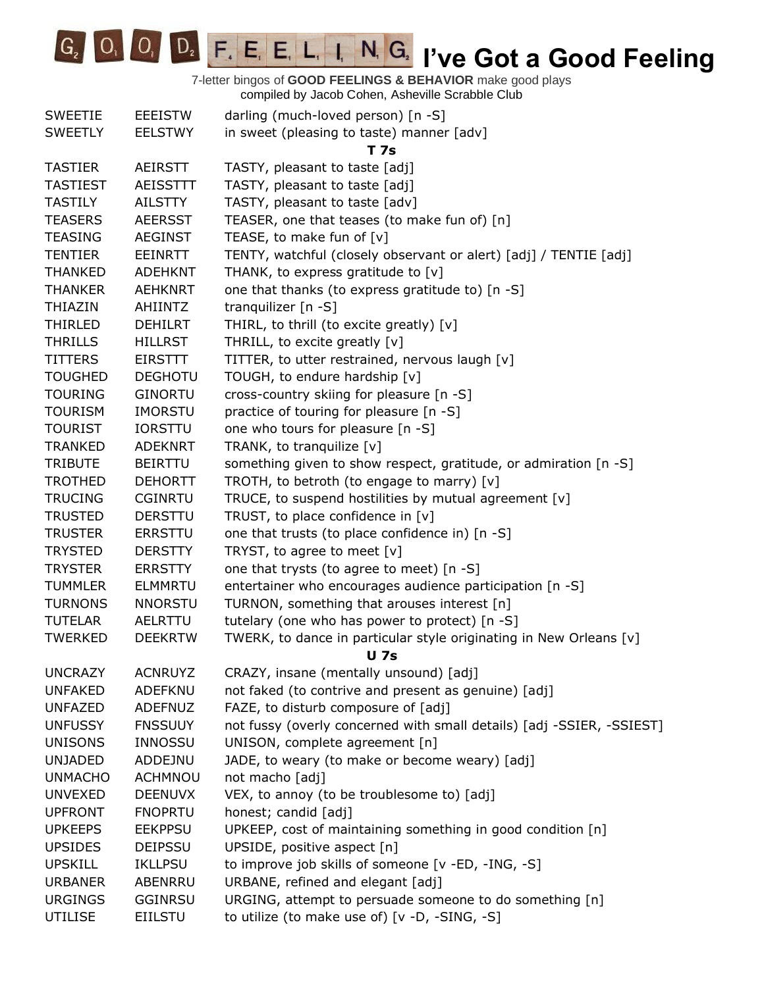**IC<sub>2</sub> IVE COODE FIGURE IN GRAVIT TO A GOOD Feeling** 

| <b>SWEETIE</b>  | <b>EEEISTW</b>  | darling (much-loved person) [n -S]                                    |
|-----------------|-----------------|-----------------------------------------------------------------------|
| <b>SWEETLY</b>  | <b>EELSTWY</b>  | in sweet (pleasing to taste) manner [adv]                             |
|                 |                 | <b>T7s</b>                                                            |
| <b>TASTIER</b>  | <b>AEIRSTT</b>  | TASTY, pleasant to taste [adj]                                        |
| <b>TASTIEST</b> | <b>AEISSTTT</b> | TASTY, pleasant to taste [adj]                                        |
| <b>TASTILY</b>  | <b>AILSTTY</b>  | TASTY, pleasant to taste [adv]                                        |
| <b>TEASERS</b>  | <b>AEERSST</b>  | TEASER, one that teases (to make fun of) [n]                          |
| <b>TEASING</b>  | <b>AEGINST</b>  | TEASE, to make fun of [v]                                             |
| <b>TENTIER</b>  | <b>EEINRTT</b>  | TENTY, watchful (closely observant or alert) [adj] / TENTIE [adj]     |
| <b>THANKED</b>  | <b>ADEHKNT</b>  | THANK, to express gratitude to [v]                                    |
| <b>THANKER</b>  | <b>AEHKNRT</b>  | one that thanks (to express gratitude to) [n -S]                      |
| THIAZIN         | AHIINTZ         | tranquilizer [n -S]                                                   |
| THIRLED         | <b>DEHILRT</b>  | THIRL, to thrill (to excite greatly) [v]                              |
| <b>THRILLS</b>  | <b>HILLRST</b>  | THRILL, to excite greatly [v]                                         |
| <b>TITTERS</b>  | <b>EIRSTTT</b>  | TITTER, to utter restrained, nervous laugh [v]                        |
| <b>TOUGHED</b>  | <b>DEGHOTU</b>  | TOUGH, to endure hardship [v]                                         |
| <b>TOURING</b>  | <b>GINORTU</b>  | cross-country skiing for pleasure [n -S]                              |
| <b>TOURISM</b>  | <b>IMORSTU</b>  | practice of touring for pleasure [n -S]                               |
| <b>TOURIST</b>  | <b>IORSTTU</b>  | one who tours for pleasure [n -S]                                     |
| <b>TRANKED</b>  | <b>ADEKNRT</b>  | TRANK, to tranquilize [v]                                             |
| <b>TRIBUTE</b>  | <b>BEIRTTU</b>  | something given to show respect, gratitude, or admiration [n -S]      |
| <b>TROTHED</b>  | <b>DEHORTT</b>  | TROTH, to betroth (to engage to marry) [v]                            |
| <b>TRUCING</b>  | <b>CGINRTU</b>  | TRUCE, to suspend hostilities by mutual agreement [v]                 |
| <b>TRUSTED</b>  | <b>DERSTTU</b>  | TRUST, to place confidence in [v]                                     |
| <b>TRUSTER</b>  | <b>ERRSTTU</b>  | one that trusts (to place confidence in) [n -S]                       |
| <b>TRYSTED</b>  | <b>DERSTTY</b>  | TRYST, to agree to meet [v]                                           |
| <b>TRYSTER</b>  | <b>ERRSTTY</b>  | one that trysts (to agree to meet) [n -S]                             |
| <b>TUMMLER</b>  | <b>ELMMRTU</b>  | entertainer who encourages audience participation [n -S]              |
| <b>TURNONS</b>  | <b>NNORSTU</b>  | TURNON, something that arouses interest [n]                           |
| <b>TUTELAR</b>  | AELRTTU         | tutelary (one who has power to protect) [n -S]                        |
| <b>TWERKED</b>  | <b>DEEKRTW</b>  | TWERK, to dance in particular style originating in New Orleans [v]    |
|                 |                 | <b>U</b> 7s                                                           |
| <b>UNCRAZY</b>  | <b>ACNRUYZ</b>  | CRAZY, insane (mentally unsound) [adj]                                |
| <b>UNFAKED</b>  | ADEFKNU         | not faked (to contrive and present as genuine) [adj]                  |
| <b>UNFAZED</b>  | <b>ADEFNUZ</b>  | FAZE, to disturb composure of [adj]                                   |
| <b>UNFUSSY</b>  | <b>FNSSUUY</b>  | not fussy (overly concerned with small details) [adj -SSIER, -SSIEST] |
| <b>UNISONS</b>  | <b>INNOSSU</b>  | UNISON, complete agreement [n]                                        |
| <b>UNJADED</b>  | ADDEJNU         | JADE, to weary (to make or become weary) [adj]                        |
| <b>UNMACHO</b>  | <b>ACHMNOU</b>  | not macho [adj]                                                       |
| <b>UNVEXED</b>  | <b>DEENUVX</b>  | VEX, to annoy (to be troublesome to) [adj]                            |
| <b>UPFRONT</b>  | <b>FNOPRTU</b>  | honest; candid [adj]                                                  |
| <b>UPKEEPS</b>  | <b>EEKPPSU</b>  | UPKEEP, cost of maintaining something in good condition [n]           |
| <b>UPSIDES</b>  | DEIPSSU         | UPSIDE, positive aspect [n]                                           |
| <b>UPSKILL</b>  | <b>IKLLPSU</b>  | to improve job skills of someone [v -ED, -ING, -S]                    |
| <b>URBANER</b>  | ABENRRU         | URBANE, refined and elegant [adj]                                     |
| <b>URGINGS</b>  | <b>GGINRSU</b>  | URGING, attempt to persuade someone to do something [n]               |
| <b>UTILISE</b>  | <b>EIILSTU</b>  | to utilize (to make use of) [v -D, -SING, -S]                         |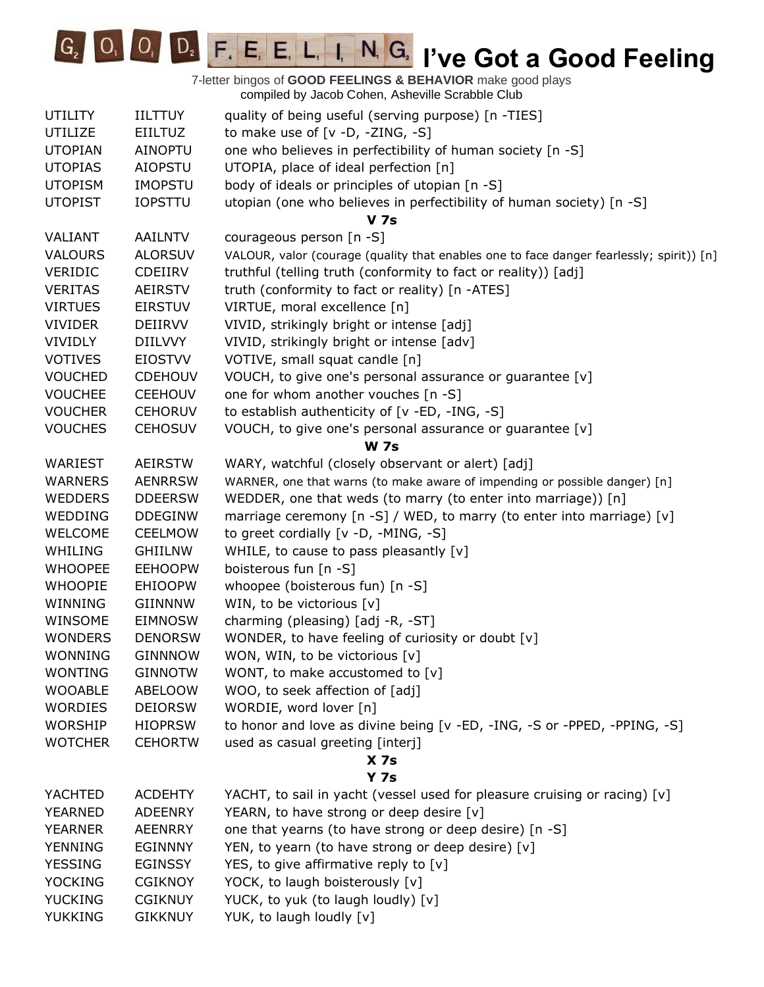

| <b>UTILITY</b> | <b>IILTTUY</b> | quality of being useful (serving purpose) [n -TIES]                                      |
|----------------|----------------|------------------------------------------------------------------------------------------|
| <b>UTILIZE</b> | <b>EIILTUZ</b> | to make use of $[v -D, -ZING, -S]$                                                       |
| <b>UTOPIAN</b> | <b>AINOPTU</b> | one who believes in perfectibility of human society [n -S]                               |
| <b>UTOPIAS</b> | <b>AIOPSTU</b> | UTOPIA, place of ideal perfection [n]                                                    |
| <b>UTOPISM</b> | <b>IMOPSTU</b> | body of ideals or principles of utopian [n -S]                                           |
| <b>UTOPIST</b> | <b>IOPSTTU</b> | utopian (one who believes in perfectibility of human society) [n -S]                     |
|                |                | <b>V</b> 7s                                                                              |
| VALIANT        | <b>AAILNTV</b> | courageous person [n -S]                                                                 |
| <b>VALOURS</b> | <b>ALORSUV</b> | VALOUR, valor (courage (quality that enables one to face danger fearlessly; spirit)) [n] |
| <b>VERIDIC</b> | CDEIIRV        | truthful (telling truth (conformity to fact or reality)) [adj]                           |
| <b>VERITAS</b> | <b>AEIRSTV</b> | truth (conformity to fact or reality) [n -ATES]                                          |
| <b>VIRTUES</b> | <b>EIRSTUV</b> | VIRTUE, moral excellence [n]                                                             |
| <b>VIVIDER</b> | DEIIRVV        | VIVID, strikingly bright or intense [adj]                                                |
| <b>VIVIDLY</b> | <b>DIILVVY</b> | VIVID, strikingly bright or intense [adv]                                                |
| <b>VOTIVES</b> | <b>EIOSTVV</b> | VOTIVE, small squat candle [n]                                                           |
| <b>VOUCHED</b> | <b>CDEHOUV</b> | VOUCH, to give one's personal assurance or guarantee [v]                                 |
| <b>VOUCHEE</b> | <b>CEEHOUV</b> | one for whom another vouches [n -S]                                                      |
| <b>VOUCHER</b> | <b>CEHORUV</b> | to establish authenticity of [v -ED, -ING, -S]                                           |
| <b>VOUCHES</b> | <b>CEHOSUV</b> | VOUCH, to give one's personal assurance or guarantee [v]                                 |
|                |                | <b>W 7s</b>                                                                              |
| WARIEST        | <b>AEIRSTW</b> | WARY, watchful (closely observant or alert) [adj]                                        |
| <b>WARNERS</b> | <b>AENRRSW</b> | WARNER, one that warns (to make aware of impending or possible danger) [n]               |
| <b>WEDDERS</b> | <b>DDEERSW</b> | WEDDER, one that weds (to marry (to enter into marriage)) [n]                            |
| WEDDING        | <b>DDEGINW</b> | marriage ceremony [n -S] / WED, to marry (to enter into marriage) [v]                    |
| <b>WELCOME</b> | <b>CEELMOW</b> | to greet cordially [v -D, -MING, -S]                                                     |
| WHILING        | <b>GHIILNW</b> | WHILE, to cause to pass pleasantly $[v]$                                                 |
| <b>WHOOPEE</b> | <b>EEHOOPW</b> | boisterous fun [n -S]                                                                    |
| <b>WHOOPIE</b> | <b>EHIOOPW</b> | whoopee (boisterous fun) [n -S]                                                          |
| WINNING        | <b>GIINNNW</b> | WIN, to be victorious [v]                                                                |
| WINSOME        | <b>EIMNOSW</b> | charming (pleasing) [adj -R, -ST]                                                        |
| <b>WONDERS</b> | <b>DENORSW</b> | WONDER, to have feeling of curiosity or doubt [v]                                        |
| <b>WONNING</b> | <b>GINNNOW</b> | WON, WIN, to be victorious [v]                                                           |
| <b>WONTING</b> | <b>GINNOTW</b> | WONT, to make accustomed to [v]                                                          |
| <b>WOOABLE</b> | <b>ABELOOW</b> | WOO, to seek affection of [adj]                                                          |
| <b>WORDIES</b> | <b>DEIORSW</b> | WORDIE, word lover [n]                                                                   |
| WORSHIP        | <b>HIOPRSW</b> | to honor and love as divine being [v -ED, -ING, -S or -PPED, -PPING, -S]                 |
| <b>WOTCHER</b> | <b>CEHORTW</b> | used as casual greeting [interj]                                                         |
|                |                | X <sub>7s</sub>                                                                          |
|                |                | Y 7s                                                                                     |
| YACHTED        | <b>ACDEHTY</b> | YACHT, to sail in yacht (vessel used for pleasure cruising or racing) [v]                |
| <b>YEARNED</b> | <b>ADEENRY</b> | YEARN, to have strong or deep desire [v]                                                 |
| <b>YEARNER</b> | <b>AEENRRY</b> | one that yearns (to have strong or deep desire) [n -S]                                   |
| <b>YENNING</b> | <b>EGINNNY</b> | YEN, to yearn (to have strong or deep desire) [v]                                        |
| <b>YESSING</b> | <b>EGINSSY</b> | YES, to give affirmative reply to [v]                                                    |
| <b>YOCKING</b> | <b>CGIKNOY</b> | YOCK, to laugh boisterously [v]                                                          |
| <b>YUCKING</b> | <b>CGIKNUY</b> | YUCK, to yuk (to laugh loudly) [v]                                                       |
| <b>YUKKING</b> | <b>GIKKNUY</b> | YUK, to laugh loudly [v]                                                                 |